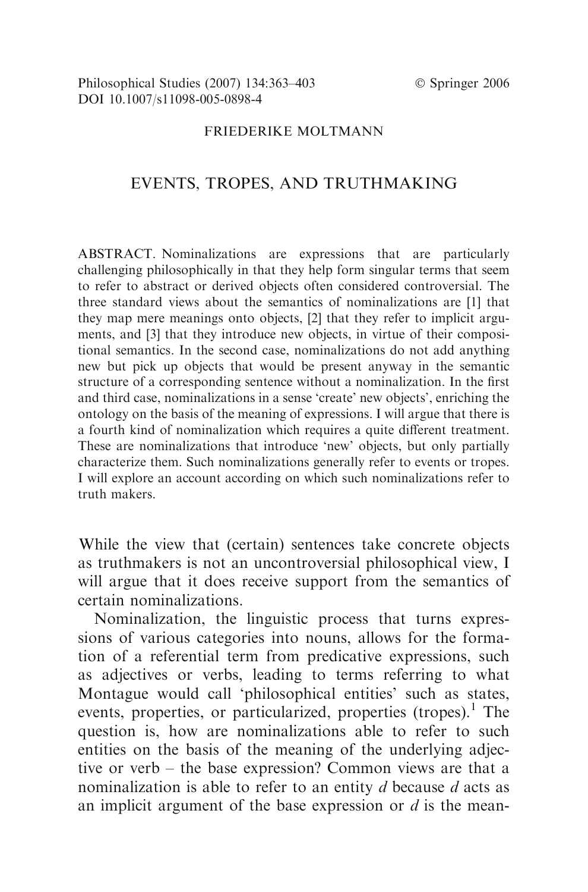#### FRIEDERIKE MOLTMANN

# EVENTS, TROPES, AND TRUTHMAKING

ABSTRACT. Nominalizations are expressions that are particularly challenging philosophically in that they help form singular terms that seem to refer to abstract or derived objects often considered controversial. The three standard views about the semantics of nominalizations are [1] that they map mere meanings onto objects, [2] that they refer to implicit arguments, and [3] that they introduce new objects, in virtue of their compositional semantics. In the second case, nominalizations do not add anything new but pick up objects that would be present anyway in the semantic structure of a corresponding sentence without a nominalization. In the first and third case, nominalizations in a sense 'create' new objects', enriching the ontology on the basis of the meaning of expressions. I will argue that there is a fourth kind of nominalization which requires a quite different treatment. These are nominalizations that introduce 'new' objects, but only partially characterize them. Such nominalizations generally refer to events or tropes. I will explore an account according on which such nominalizations refer to truth makers.

While the view that (certain) sentences take concrete objects as truthmakers is not an uncontroversial philosophical view, I will argue that it does receive support from the semantics of certain nominalizations.

Nominalization, the linguistic process that turns expressions of various categories into nouns, allows for the formation of a referential term from predicative expressions, such as adjectives or verbs, leading to terms referring to what Montague would call 'philosophical entities' such as states, events, properties, or particularized, properties (tropes).<sup>1</sup> The question is, how are nominalizations able to refer to such entities on the basis of the meaning of the underlying adjective or verb – the base expression? Common views are that a nominalization is able to refer to an entity  $d$  because  $d$  acts as an implicit argument of the base expression or  $d$  is the mean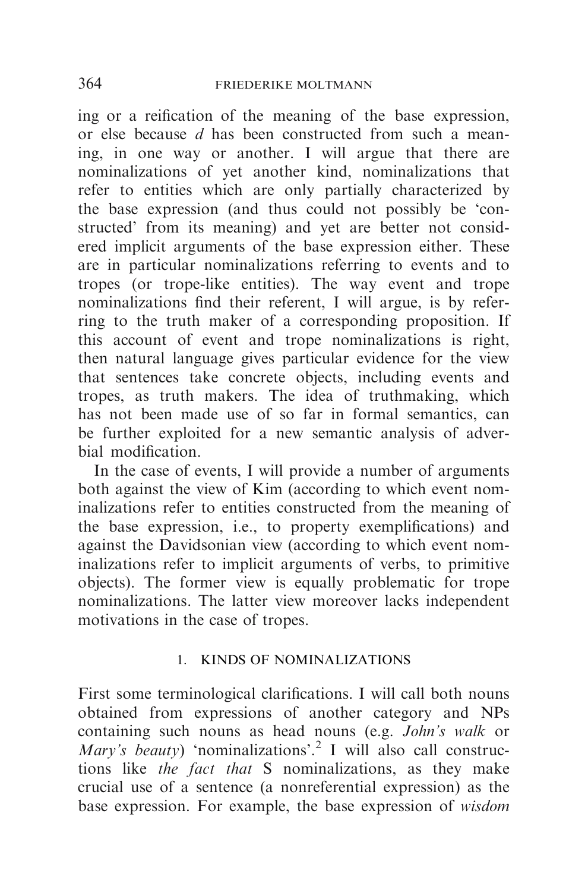ing or a reification of the meaning of the base expression, or else because d has been constructed from such a meaning, in one way or another. I will argue that there are nominalizations of yet another kind, nominalizations that refer to entities which are only partially characterized by the base expression (and thus could not possibly be 'constructed' from its meaning) and yet are better not considered implicit arguments of the base expression either. These are in particular nominalizations referring to events and to tropes (or trope-like entities). The way event and trope nominalizations find their referent, I will argue, is by referring to the truth maker of a corresponding proposition. If this account of event and trope nominalizations is right, then natural language gives particular evidence for the view that sentences take concrete objects, including events and tropes, as truth makers. The idea of truthmaking, which has not been made use of so far in formal semantics, can be further exploited for a new semantic analysis of adverbial modification.

In the case of events, I will provide a number of arguments both against the view of Kim (according to which event nominalizations refer to entities constructed from the meaning of the base expression, i.e., to property exemplifications) and against the Davidsonian view (according to which event nominalizations refer to implicit arguments of verbs, to primitive objects). The former view is equally problematic for trope nominalizations. The latter view moreover lacks independent motivations in the case of tropes.

## 1. KINDS OF NOMINALIZATIONS

First some terminological clarifications. I will call both nouns obtained from expressions of another category and NPs containing such nouns as head nouns (e.g. John's walk or Mary's beauty) 'nominalizations'.<sup>2</sup> I will also call constructions like the fact that S nominalizations, as they make crucial use of a sentence (a nonreferential expression) as the base expression. For example, the base expression of wisdom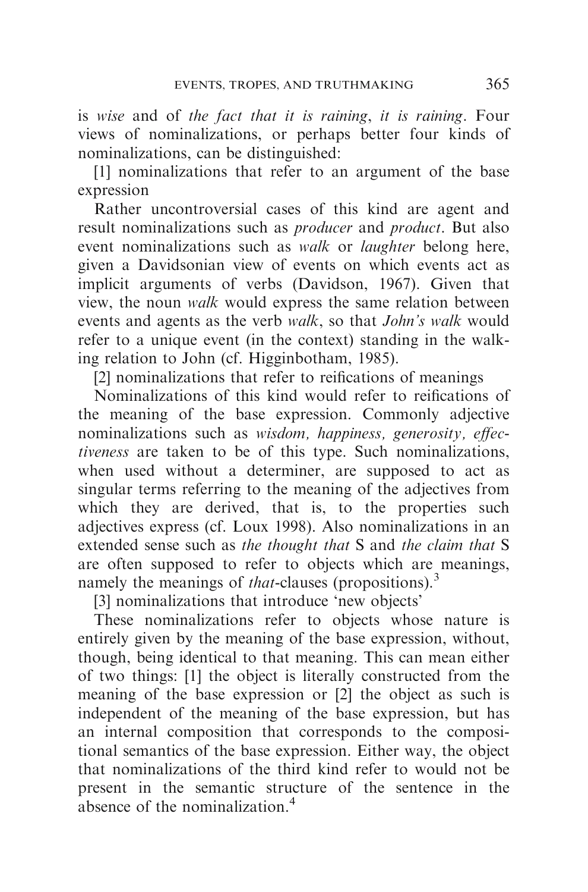is wise and of the fact that it is raining, it is raining. Four views of nominalizations, or perhaps better four kinds of nominalizations, can be distinguished:

[1] nominalizations that refer to an argument of the base expression

Rather uncontroversial cases of this kind are agent and result nominalizations such as producer and product. But also event nominalizations such as *walk* or *laughter* belong here, given a Davidsonian view of events on which events act as implicit arguments of verbs (Davidson, 1967). Given that view, the noun walk would express the same relation between events and agents as the verb walk, so that *John's walk* would refer to a unique event (in the context) standing in the walking relation to John (cf. Higginbotham, 1985).

[2] nominalizations that refer to reifications of meanings

Nominalizations of this kind would refer to reifications of the meaning of the base expression. Commonly adjective nominalizations such as wisdom, happiness, generosity, effectiveness are taken to be of this type. Such nominalizations, when used without a determiner, are supposed to act as singular terms referring to the meaning of the adjectives from which they are derived, that is, to the properties such adjectives express (cf. Loux 1998). Also nominalizations in an extended sense such as the thought that S and the claim that S are often supposed to refer to objects which are meanings, namely the meanings of *that*-clauses (propositions).<sup>3</sup>

[3] nominalizations that introduce 'new objects'

These nominalizations refer to objects whose nature is entirely given by the meaning of the base expression, without, though, being identical to that meaning. This can mean either of two things: [1] the object is literally constructed from the meaning of the base expression or [2] the object as such is independent of the meaning of the base expression, but has an internal composition that corresponds to the compositional semantics of the base expression. Either way, the object that nominalizations of the third kind refer to would not be present in the semantic structure of the sentence in the absence of the nominalization.<sup>4</sup>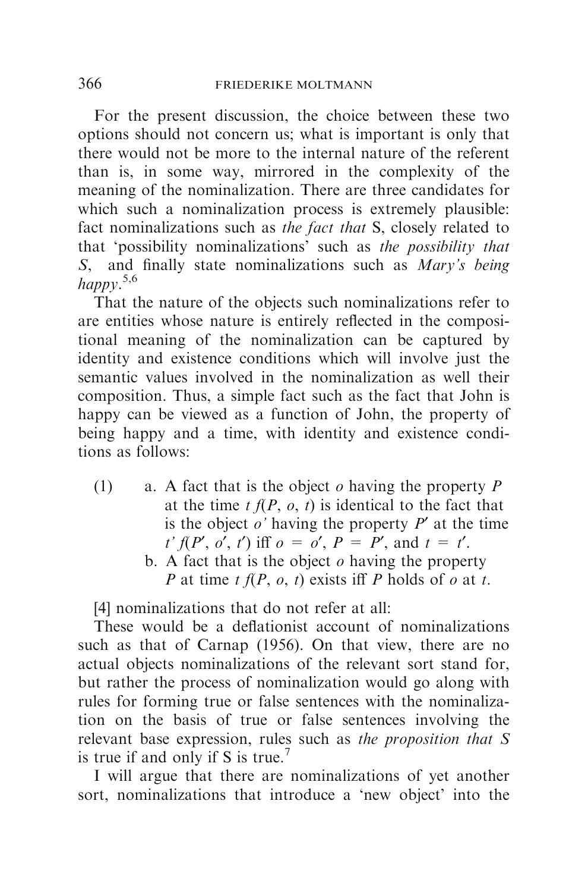For the present discussion, the choice between these two options should not concern us; what is important is only that there would not be more to the internal nature of the referent than is, in some way, mirrored in the complexity of the meaning of the nominalization. There are three candidates for which such a nominalization process is extremely plausible: fact nominalizations such as the fact that S, closely related to that 'possibility nominalizations' such as the possibility that  $S$ , and finally state nominalizations such as  $Marv's$  being and finally state nominalizations such as  $Mary's being$ happy. 5,6

That the nature of the objects such nominalizations refer to are entities whose nature is entirely reflected in the compositional meaning of the nominalization can be captured by identity and existence conditions which will involve just the semantic values involved in the nominalization as well their composition. Thus, a simple fact such as the fact that John is happy can be viewed as a function of John, the property of being happy and a time, with identity and existence conditions as follows:

- (1) a. A fact that is the object  $\rho$  having the property  $P$ at the time  $t f(P, o, t)$  is identical to the fact that is the object  $o'$  having the property  $P'$  at the time  $t' f(P', o', t')$  iff  $o = o', P = P',$  and  $t = t'.$ 
	- b. A fact that is the object  $\rho$  having the property P at time t  $f(P, o, t)$  exists iff P holds of o at t.

[4] nominalizations that do not refer at all:

These would be a deflationist account of nominalizations such as that of Carnap (1956). On that view, there are no actual objects nominalizations of the relevant sort stand for, but rather the process of nominalization would go along with rules for forming true or false sentences with the nominalization on the basis of true or false sentences involving the relevant base expression, rules such as the proposition that S is true if and only if S is true.<sup>7</sup>

I will argue that there are nominalizations of yet another sort, nominalizations that introduce a 'new object' into the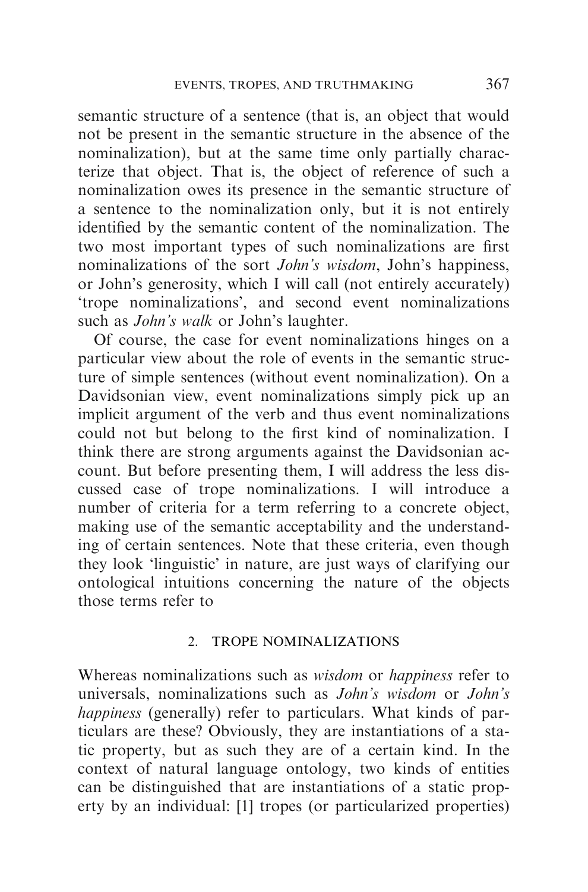semantic structure of a sentence (that is, an object that would not be present in the semantic structure in the absence of the nominalization), but at the same time only partially characterize that object. That is, the object of reference of such a nominalization owes its presence in the semantic structure of a sentence to the nominalization only, but it is not entirely identified by the semantic content of the nominalization. The two most important types of such nominalizations are first nominalizations of the sort *John's wisdom*, John's happiness, or John's generosity, which I will call (not entirely accurately) 'trope nominalizations', and second event nominalizations such as *John's walk* or John's laughter.

Of course, the case for event nominalizations hinges on a particular view about the role of events in the semantic structure of simple sentences (without event nominalization). On a Davidsonian view, event nominalizations simply pick up an implicit argument of the verb and thus event nominalizations could not but belong to the first kind of nominalization. I think there are strong arguments against the Davidsonian account. But before presenting them, I will address the less discussed case of trope nominalizations. I will introduce a number of criteria for a term referring to a concrete object, making use of the semantic acceptability and the understanding of certain sentences. Note that these criteria, even though they look 'linguistic' in nature, are just ways of clarifying our ontological intuitions concerning the nature of the objects those terms refer to

### 2. TROPE NOMINALIZATIONS

Whereas nominalizations such as *wisdom* or *happiness* refer to universals, nominalizations such as John's wisdom or John's happiness (generally) refer to particulars. What kinds of particulars are these? Obviously, they are instantiations of a static property, but as such they are of a certain kind. In the context of natural language ontology, two kinds of entities can be distinguished that are instantiations of a static property by an individual: [1] tropes (or particularized properties)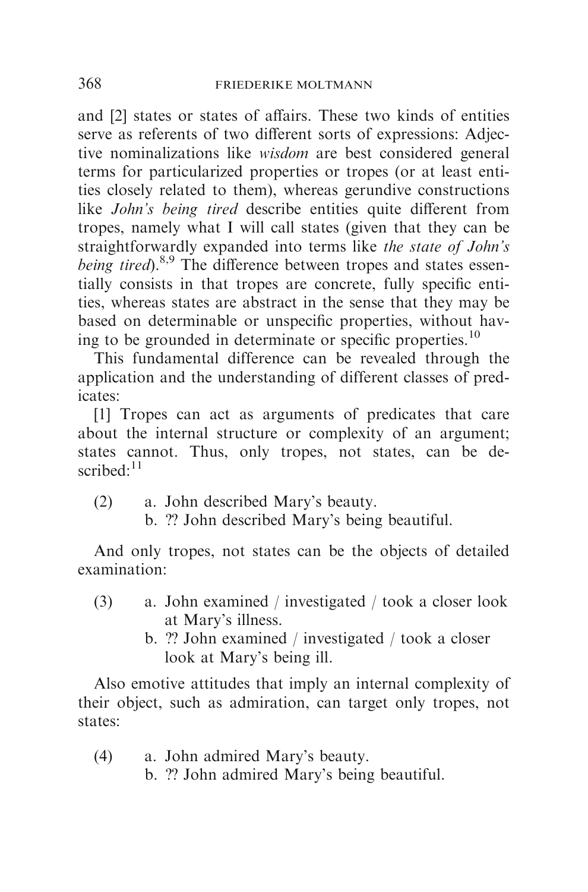and [2] states or states of affairs. These two kinds of entities serve as referents of two different sorts of expressions: Adjective nominalizations like wisdom are best considered general terms for particularized properties or tropes (or at least entities closely related to them), whereas gerundive constructions like *John's being tired* describe entities quite different from tropes, namely what I will call states (given that they can be straightforwardly expanded into terms like the state of John's being tired).<sup>8,9</sup> The difference between tropes and states essentially consists in that tropes are concrete, fully specific entities, whereas states are abstract in the sense that they may be based on determinable or unspecific properties, without having to be grounded in determinate or specific properties.<sup>10</sup>

This fundamental difference can be revealed through the application and the understanding of different classes of predicates:

[1] Tropes can act as arguments of predicates that care about the internal structure or complexity of an argument; states cannot. Thus, only tropes, not states, can be described: $11$ 

- (2) a. John described Mary's beauty.
	- b. ?? John described Mary's being beautiful.

And only tropes, not states can be the objects of detailed examination:

- (3) a. John examined / investigated / took a closer look at Mary's illness.
	- b. ?? John examined / investigated / took a closer look at Mary's being ill.

Also emotive attitudes that imply an internal complexity of their object, such as admiration, can target only tropes, not states:

(4) a. John admired Mary's beauty. b. ?? John admired Mary's being beautiful.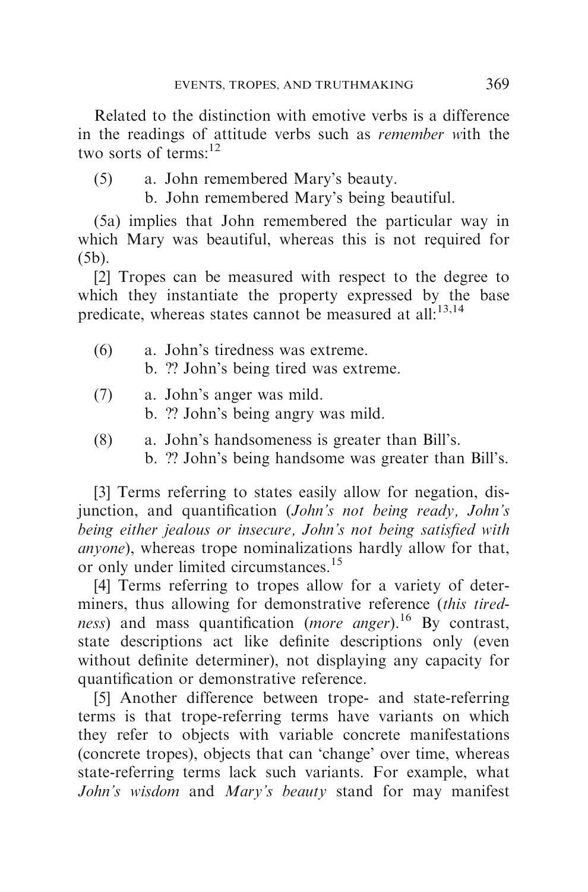Related to the distinction with emotive verbs is a difference in the readings of attitude verbs such as remember with the two sorts of terms:<sup>12</sup>

- (5) a. John remembered Mary's beauty.
	- b. John remembered Mary's being beautiful.

(5a) implies that John remembered the particular way in which Mary was beautiful, whereas this is not required for (5b).

[2] Tropes can be measured with respect to the degree to which they instantiate the property expressed by the base predicate, whereas states cannot be measured at all<sup>13,14</sup>

- (6) a. John's tiredness was extreme. b. ?? John's being tired was extreme.
- (7) a. John's anger was mild.
	- b. ?? John's being angry was mild.
- (8) a. John's handsomeness is greater than Bill's.
	- b. ?? John's being handsome was greater than Bill's.

[3] Terms referring to states easily allow for negation, disjunction, and quantification (John's not being ready, John's being either jealous or insecure, John's not being satisfied with anyone), whereas trope nominalizations hardly allow for that, or only under limited circumstances.<sup>15</sup>

[4] Terms referring to tropes allow for a variety of determiners, thus allowing for demonstrative reference *(this tiredness*) and mass quantification (*more anger*).<sup>16</sup> By contrast, state descriptions act like definite descriptions only (even without definite determiner), not displaying any capacity for quantification or demonstrative reference.

[5] Another difference between trope- and state-referring terms is that trope-referring terms have variants on which they refer to objects with variable concrete manifestations (concrete tropes), objects that can 'change' over time, whereas state-referring terms lack such variants. For example, what John's wisdom and Mary's beauty stand for may manifest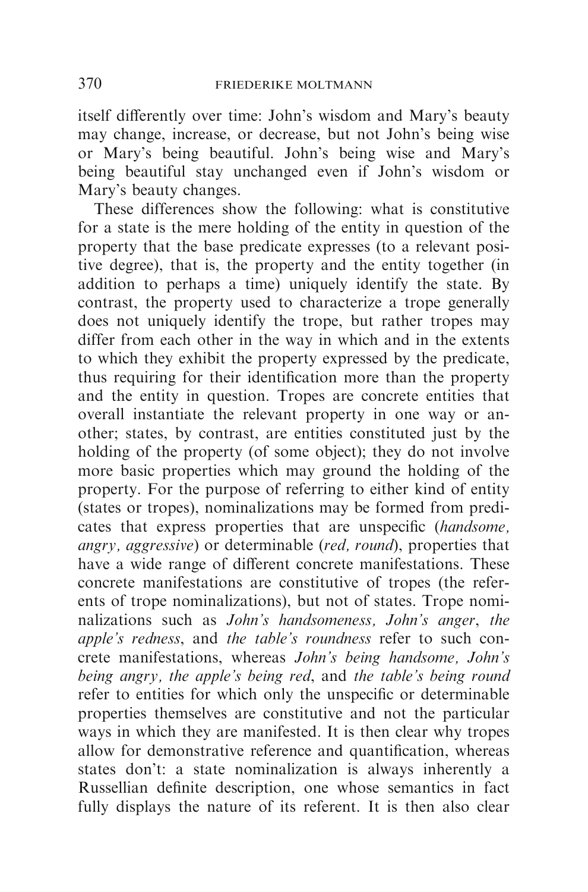itself differently over time: John's wisdom and Mary's beauty may change, increase, or decrease, but not John's being wise or Mary's being beautiful. John's being wise and Mary's being beautiful stay unchanged even if John's wisdom or Mary's beauty changes.

These differences show the following: what is constitutive for a state is the mere holding of the entity in question of the property that the base predicate expresses (to a relevant positive degree), that is, the property and the entity together (in addition to perhaps a time) uniquely identify the state. By contrast, the property used to characterize a trope generally does not uniquely identify the trope, but rather tropes may differ from each other in the way in which and in the extents to which they exhibit the property expressed by the predicate, thus requiring for their identification more than the property and the entity in question. Tropes are concrete entities that overall instantiate the relevant property in one way or another; states, by contrast, are entities constituted just by the holding of the property (of some object); they do not involve more basic properties which may ground the holding of the property. For the purpose of referring to either kind of entity (states or tropes), nominalizations may be formed from predicates that express properties that are unspecific (handsome, angry, aggressive) or determinable (red, round), properties that have a wide range of different concrete manifestations. These concrete manifestations are constitutive of tropes (the referents of trope nominalizations), but not of states. Trope nominalizations such as John's handsomeness, John's anger, the apple's redness, and the table's roundness refer to such concrete manifestations, whereas John's being handsome, John's being angry, the apple's being red, and the table's being round refer to entities for which only the unspecific or determinable properties themselves are constitutive and not the particular ways in which they are manifested. It is then clear why tropes allow for demonstrative reference and quantification, whereas states don't: a state nominalization is always inherently a Russellian definite description, one whose semantics in fact fully displays the nature of its referent. It is then also clear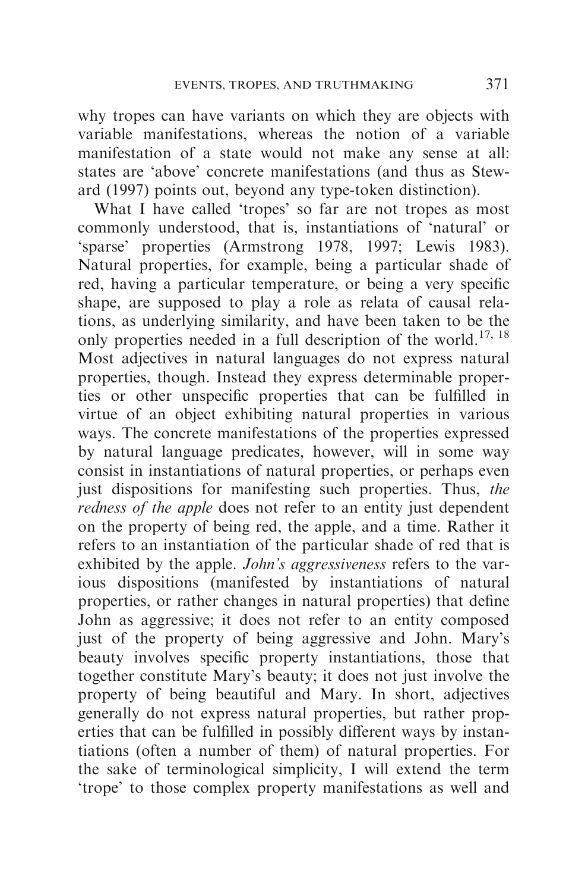why tropes can have variants on which they are objects with variable manifestations, whereas the notion of a variable manifestation of a state would not make any sense at all: states are 'above' concrete manifestations (and thus as Steward (1997) points out, beyond any type-token distinction).

What I have called 'tropes' so far are not tropes as most commonly understood, that is, instantiations of 'natural' or 'sparse' properties (Armstrong 1978, 1997; Lewis 1983). Natural properties, for example, being a particular shade of red, having a particular temperature, or being a very specific shape, are supposed to play a role as relata of causal relations, as underlying similarity, and have been taken to be the only properties needed in a full description of the world.<sup>17, 18</sup> Most adjectives in natural languages do not express natural properties, though. Instead they express determinable properties or other unspecific properties that can be fulfilled in virtue of an object exhibiting natural properties in various ways. The concrete manifestations of the properties expressed by natural language predicates, however, will in some way consist in instantiations of natural properties, or perhaps even just dispositions for manifesting such properties. Thus, the redness of the apple does not refer to an entity just dependent on the property of being red, the apple, and a time. Rather it refers to an instantiation of the particular shade of red that is exhibited by the apple. *John's aggressiveness* refers to the various dispositions (manifested by instantiations of natural properties, or rather changes in natural properties) that define John as aggressive; it does not refer to an entity composed just of the property of being aggressive and John. Mary's beauty involves specific property instantiations, those that together constitute Mary's beauty; it does not just involve the property of being beautiful and Mary. In short, adjectives generally do not express natural properties, but rather properties that can be fulfilled in possibly different ways by instantiations (often a number of them) of natural properties. For the sake of terminological simplicity, I will extend the term 'trope' to those complex property manifestations as well and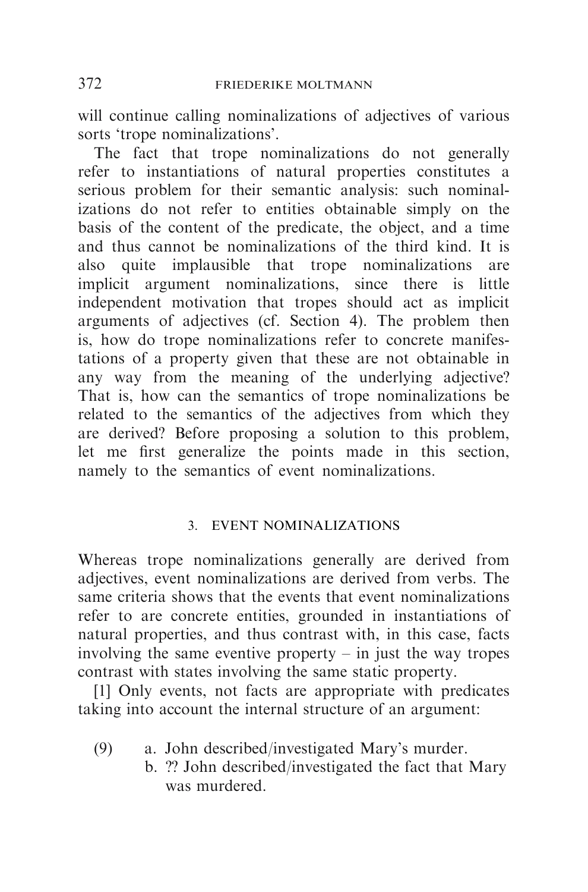will continue calling nominalizations of adjectives of various sorts 'trope nominalizations'.

The fact that trope nominalizations do not generally refer to instantiations of natural properties constitutes a serious problem for their semantic analysis: such nominalizations do not refer to entities obtainable simply on the basis of the content of the predicate, the object, and a time and thus cannot be nominalizations of the third kind. It is also quite implausible that trope nominalizations are implicit argument nominalizations, since there is little independent motivation that tropes should act as implicit arguments of adjectives (cf. Section 4). The problem then is, how do trope nominalizations refer to concrete manifestations of a property given that these are not obtainable in any way from the meaning of the underlying adjective? That is, how can the semantics of trope nominalizations be related to the semantics of the adjectives from which they are derived? Before proposing a solution to this problem, let me first generalize the points made in this section, namely to the semantics of event nominalizations.

## 3. EVENT NOMINALIZATIONS

Whereas trope nominalizations generally are derived from adjectives, event nominalizations are derived from verbs. The same criteria shows that the events that event nominalizations refer to are concrete entities, grounded in instantiations of natural properties, and thus contrast with, in this case, facts involving the same eventive property  $-$  in just the way tropes contrast with states involving the same static property.

[1] Only events, not facts are appropriate with predicates taking into account the internal structure of an argument:

- (9) a. John described/investigated Mary's murder.
	- b. ?? John described/investigated the fact that Mary was murdered.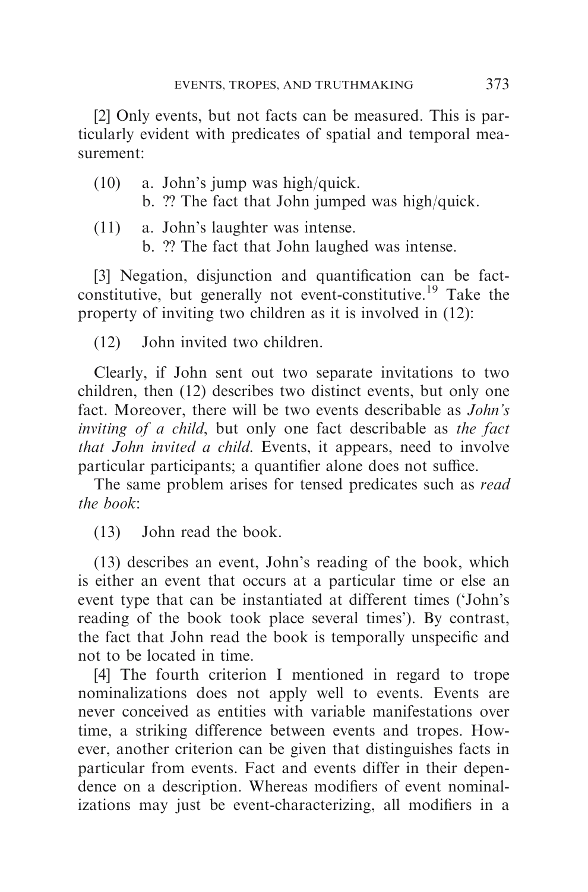[2] Only events, but not facts can be measured. This is particularly evident with predicates of spatial and temporal measurement:

- (10) a. John's jump was high/quick. b. ?? The fact that John jumped was high/quick.
- (11) a. John's laughter was intense. b. ?? The fact that John laughed was intense.

[3] Negation, disjunction and quantification can be factconstitutive, but generally not event-constitutive.<sup>19</sup> Take the property of inviting two children as it is involved in (12):

(12) John invited two children.

Clearly, if John sent out two separate invitations to two children, then (12) describes two distinct events, but only one fact. Moreover, there will be two events describable as *John's* inviting of a child, but only one fact describable as the fact that John invited a child. Events, it appears, need to involve particular participants; a quantifier alone does not suffice.

The same problem arises for tensed predicates such as *read* the book:

(13) John read the book.

(13) describes an event, John's reading of the book, which is either an event that occurs at a particular time or else an event type that can be instantiated at different times ('John's reading of the book took place several times'). By contrast, the fact that John read the book is temporally unspecific and not to be located in time.

[4] The fourth criterion I mentioned in regard to trope nominalizations does not apply well to events. Events are never conceived as entities with variable manifestations over time, a striking difference between events and tropes. However, another criterion can be given that distinguishes facts in particular from events. Fact and events differ in their dependence on a description. Whereas modifiers of event nominalizations may just be event-characterizing, all modifiers in a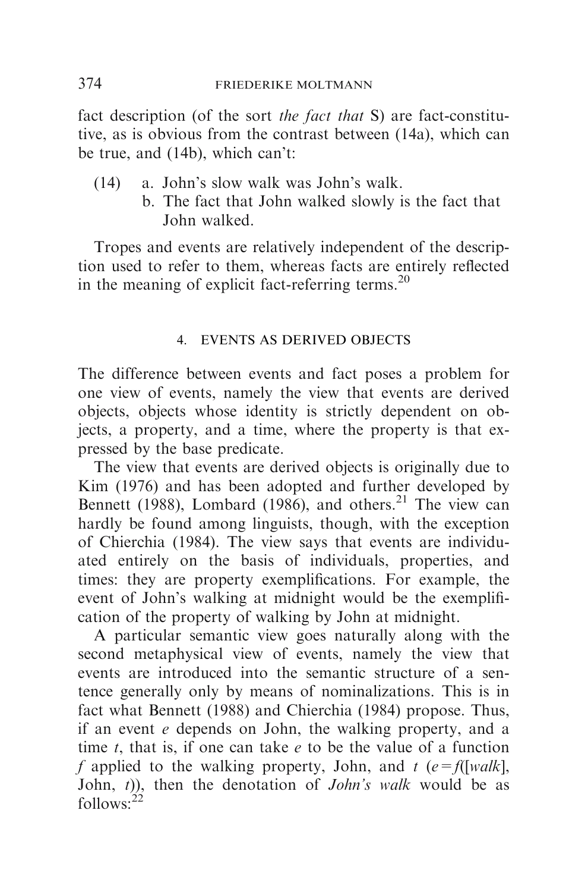fact description (of the sort the fact that S) are fact-constitutive, as is obvious from the contrast between (14a), which can be true, and (14b), which can't:

- (14) a. John's slow walk was John's walk.
	- b. The fact that John walked slowly is the fact that John walked.

Tropes and events are relatively independent of the description used to refer to them, whereas facts are entirely reflected in the meaning of explicit fact-referring terms. $^{20}$ 

## 4. EVENTS AS DERIVED OBJECTS

The difference between events and fact poses a problem for one view of events, namely the view that events are derived objects, objects whose identity is strictly dependent on objects, a property, and a time, where the property is that expressed by the base predicate.

The view that events are derived objects is originally due to Kim (1976) and has been adopted and further developed by Bennett (1988), Lombard (1986), and others.<sup>21</sup> The view can hardly be found among linguists, though, with the exception of Chierchia (1984). The view says that events are individuated entirely on the basis of individuals, properties, and times: they are property exemplifications. For example, the event of John's walking at midnight would be the exemplification of the property of walking by John at midnight.

A particular semantic view goes naturally along with the second metaphysical view of events, namely the view that events are introduced into the semantic structure of a sentence generally only by means of nominalizations. This is in fact what Bennett (1988) and Chierchia (1984) propose. Thus, if an event e depends on John, the walking property, and a time t, that is, if one can take  $e$  to be the value of a function f applied to the walking property, John, and  $t$  (e=f([walk], John,  $(t)$ ), then the denotation of *John's walk* would be as  $follows<sup>.22</sup>$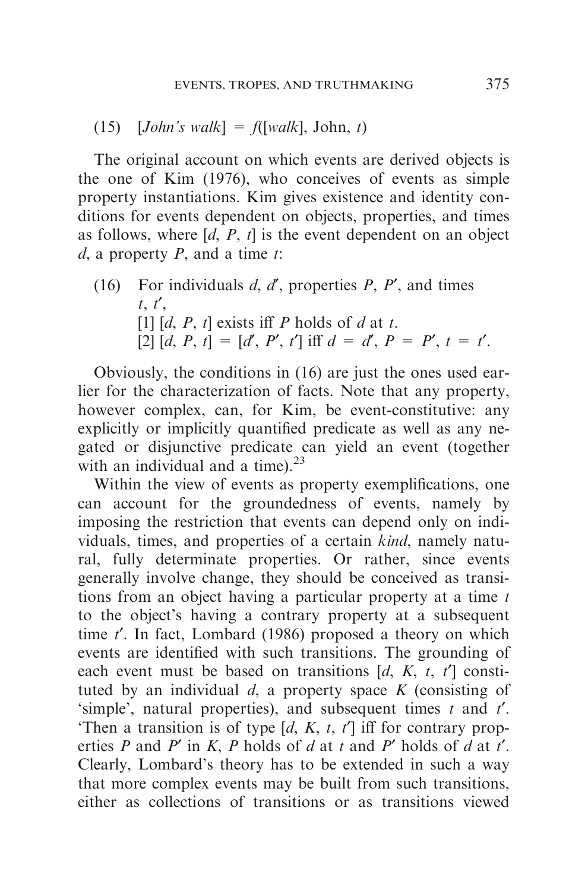(15)  $[John's walk] = f([walk], John, t)$ 

The original account on which events are derived objects is the one of Kim (1976), who conceives of events as simple property instantiations. Kim gives existence and identity conditions for events dependent on objects, properties, and times as follows, where  $[d, P, t]$  is the event dependent on an object  $d$ , a property  $P$ , and a time  $t$ :

(16) For individuals  $d, d'$ , properties  $P, P'$ , and times  $t, t'$ , [1]  $[d, P, t]$  exists iff P holds of d at t. [2]  $[d, P, t] = [d', P', t']$  iff  $d = d', P = P', t = t'.$ 

Obviously, the conditions in (16) are just the ones used earlier for the characterization of facts. Note that any property, however complex, can, for Kim, be event-constitutive: any explicitly or implicitly quantified predicate as well as any negated or disjunctive predicate can yield an event (together with an individual and a time). $^{23}$ 

Within the view of events as property exemplifications, one can account for the groundedness of events, namely by imposing the restriction that events can depend only on individuals, times, and properties of a certain kind, namely natural, fully determinate properties. Or rather, since events generally involve change, they should be conceived as transitions from an object having a particular property at a time  $t$ to the object's having a contrary property at a subsequent time  $t'$ . In fact, Lombard (1986) proposed a theory on which events are identified with such transitions. The grounding of each event must be based on transitions  $[d, K, t, t']$  constituted by an individual  $d$ , a property space  $K$  (consisting of 'simple', natural properties), and subsequent times  $t$  and  $t'$ . 'Then a transition is of type  $[d, K, t, t']$  iff for contrary properties P and P' in K, P holds of d at t and P' holds of d at t'. Clearly, Lombard's theory has to be extended in such a way that more complex events may be built from such transitions, either as collections of transitions or as transitions viewed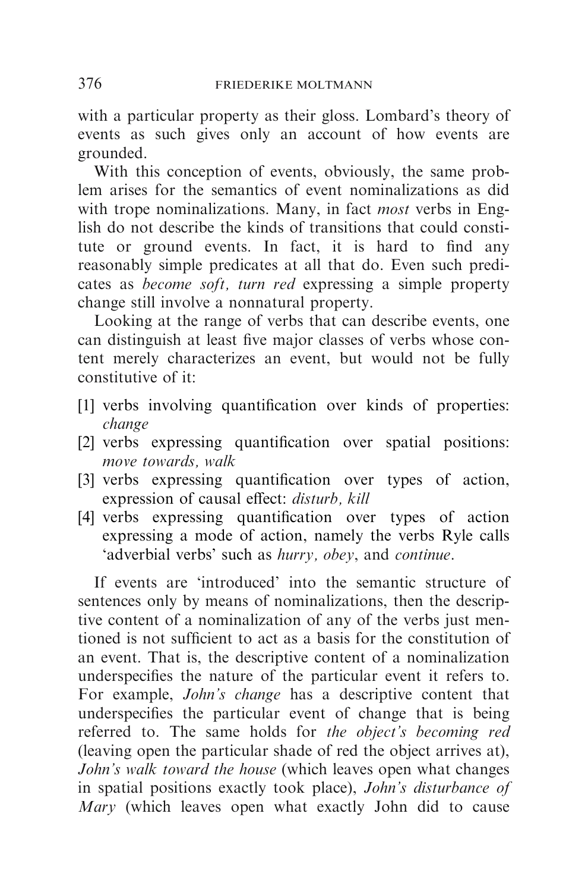with a particular property as their gloss. Lombard's theory of events as such gives only an account of how events are grounded.

With this conception of events, obviously, the same problem arises for the semantics of event nominalizations as did with trope nominalizations. Many, in fact *most* verbs in English do not describe the kinds of transitions that could constitute or ground events. In fact, it is hard to find any reasonably simple predicates at all that do. Even such predicates as become soft, turn red expressing a simple property change still involve a nonnatural property.

Looking at the range of verbs that can describe events, one can distinguish at least five major classes of verbs whose content merely characterizes an event, but would not be fully constitutive of it:

- [1] verbs involving quantification over kinds of properties: change
- [2] verbs expressing quantification over spatial positions: move towards, walk
- [3] verbs expressing quantification over types of action, expression of causal effect: disturb, kill
- [4] verbs expressing quantification over types of action expressing a mode of action, namely the verbs Ryle calls 'adverbial verbs' such as hurry, obey, and continue.

If events are 'introduced' into the semantic structure of sentences only by means of nominalizations, then the descriptive content of a nominalization of any of the verbs just mentioned is not sufficient to act as a basis for the constitution of an event. That is, the descriptive content of a nominalization underspecifies the nature of the particular event it refers to. For example, John's change has a descriptive content that underspecifies the particular event of change that is being referred to. The same holds for the object's becoming red (leaving open the particular shade of red the object arrives at), John's walk toward the house (which leaves open what changes in spatial positions exactly took place), John's disturbance of Mary (which leaves open what exactly John did to cause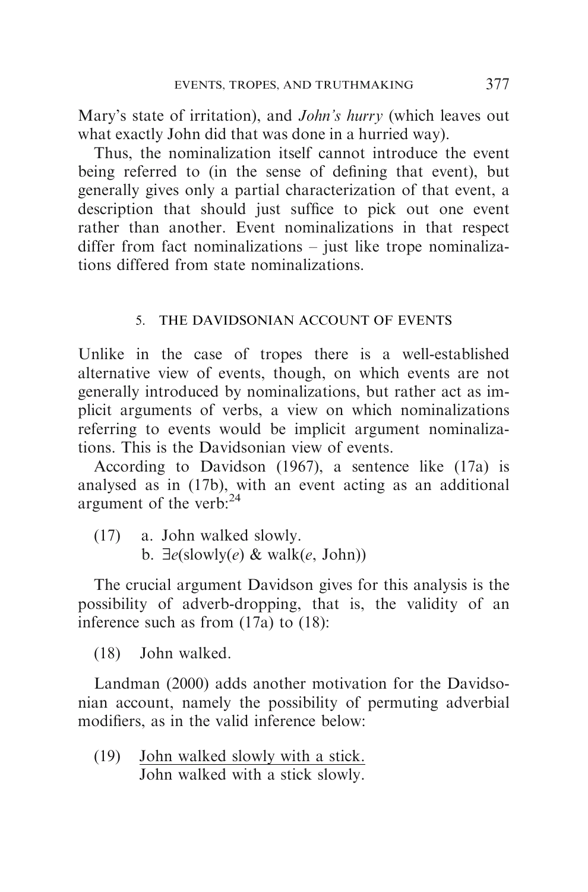Mary's state of irritation), and *John's hurry* (which leaves out what exactly John did that was done in a hurried way).

Thus, the nominalization itself cannot introduce the event being referred to (in the sense of defining that event), but generally gives only a partial characterization of that event, a description that should just suffice to pick out one event rather than another. Event nominalizations in that respect differ from fact nominalizations – just like trope nominalizations differed from state nominalizations.

## 5. THE DAVIDSONIAN ACCOUNT OF EVENTS

Unlike in the case of tropes there is a well-established alternative view of events, though, on which events are not generally introduced by nominalizations, but rather act as implicit arguments of verbs, a view on which nominalizations referring to events would be implicit argument nominalizations. This is the Davidsonian view of events.

According to Davidson (1967), a sentence like (17a) is analysed as in (17b), with an event acting as an additional argument of the verb: $^{24}$ 

(17) a. John walked slowly. b.  $\exists e$ (slowly(e) & walk(e, John))

The crucial argument Davidson gives for this analysis is the possibility of adverb-dropping, that is, the validity of an inference such as from (17a) to (18):

(18) John walked.

Landman (2000) adds another motivation for the Davidsonian account, namely the possibility of permuting adverbial modifiers, as in the valid inference below:

(19) John walked slowly with a stick. John walked with a stick slowly.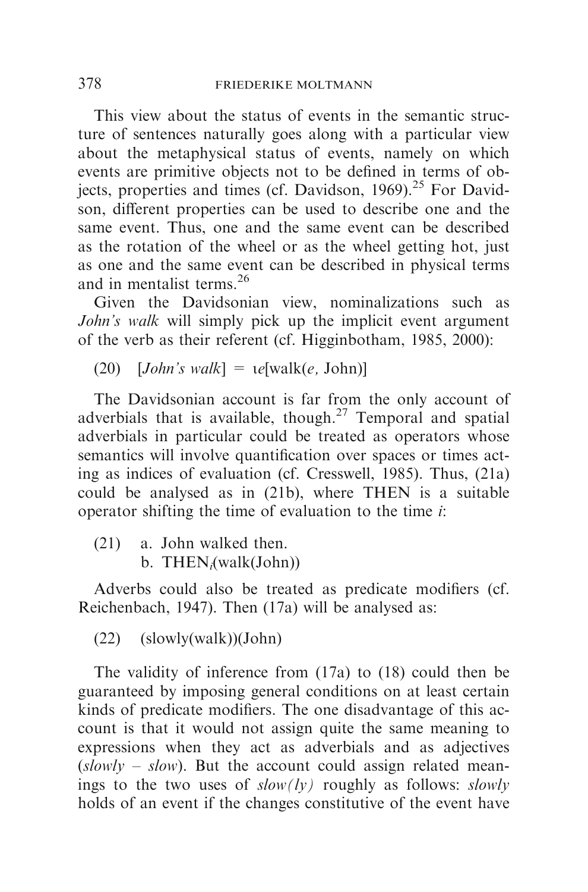This view about the status of events in the semantic structure of sentences naturally goes along with a particular view about the metaphysical status of events, namely on which events are primitive objects not to be defined in terms of objects, properties and times (cf. Davidson, 1969).<sup>25</sup> For Davidson, different properties can be used to describe one and the same event. Thus, one and the same event can be described as the rotation of the wheel or as the wheel getting hot, just as one and the same event can be described in physical terms and in mentalist terms.<sup>26</sup>

Given the Davidsonian view, nominalizations such as John's walk will simply pick up the implicit event argument of the verb as their referent (cf. Higginbotham, 1985, 2000):

(20)  $[John's walk] = \text{te}[walk(e, John)]$ 

The Davidsonian account is far from the only account of adverbials that is available, though.<sup>27</sup> Temporal and spatial adverbials in particular could be treated as operators whose semantics will involve quantification over spaces or times acting as indices of evaluation (cf. Cresswell, 1985). Thus, (21a) could be analysed as in (21b), where THEN is a suitable operator shifting the time of evaluation to the time  $i$ :

(21) a. John walked then.  $b.$  THEN<sub>i</sub>(walk(John))

Adverbs could also be treated as predicate modifiers (cf. Reichenbach, 1947). Then (17a) will be analysed as:

(22) (slowly(walk))(John)

The validity of inference from (17a) to (18) could then be guaranteed by imposing general conditions on at least certain kinds of predicate modifiers. The one disadvantage of this account is that it would not assign quite the same meaning to expressions when they act as adverbials and as adjectives  $(slowly - slow)$ . But the account could assign related meanings to the two uses of  $slow(ly)$  roughly as follows: slowly holds of an event if the changes constitutive of the event have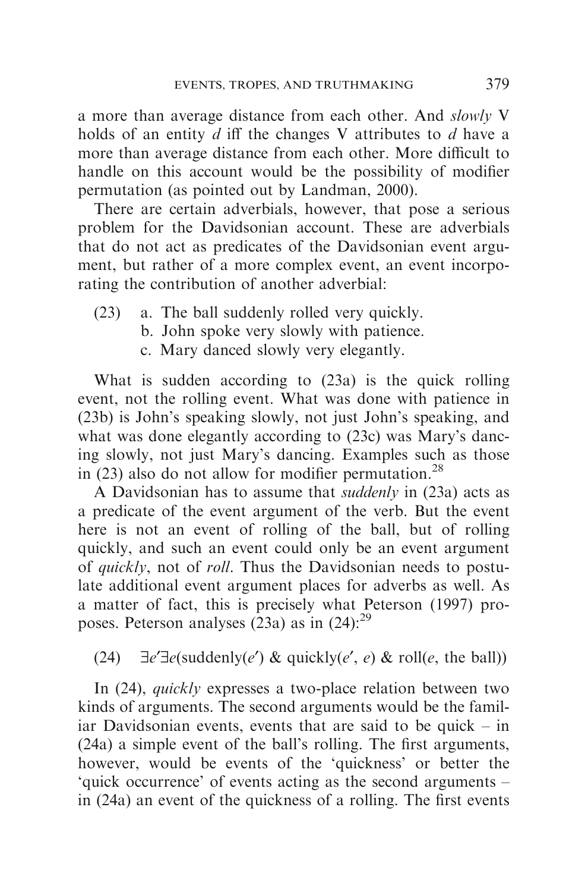a more than average distance from each other. And slowly V holds of an entity  $d$  iff the changes V attributes to  $d$  have a more than average distance from each other. More difficult to handle on this account would be the possibility of modifier permutation (as pointed out by Landman, 2000).

There are certain adverbials, however, that pose a serious problem for the Davidsonian account. These are adverbials that do not act as predicates of the Davidsonian event argument, but rather of a more complex event, an event incorporating the contribution of another adverbial:

- (23) a. The ball suddenly rolled very quickly.
	- b. John spoke very slowly with patience.
	- c. Mary danced slowly very elegantly.

What is sudden according to (23a) is the quick rolling event, not the rolling event. What was done with patience in (23b) is John's speaking slowly, not just John's speaking, and what was done elegantly according to (23c) was Mary's dancing slowly, not just Mary's dancing. Examples such as those in  $(23)$  also do not allow for modifier permutation.<sup>28</sup>

A Davidsonian has to assume that suddenly in (23a) acts as a predicate of the event argument of the verb. But the event here is not an event of rolling of the ball, but of rolling quickly, and such an event could only be an event argument of quickly, not of roll. Thus the Davidsonian needs to postulate additional event argument places for adverbs as well. As a matter of fact, this is precisely what Peterson (1997) proposes. Peterson analyses  $(23a)$  as in  $(24)$ :<sup>29</sup>

# (24)  $\exists e' \exists e$ (suddenly(e') & quickly(e', e) & roll(e, the ball))

In (24), quickly expresses a two-place relation between two kinds of arguments. The second arguments would be the familiar Davidsonian events, events that are said to be quick – in (24a) a simple event of the ball's rolling. The first arguments, however, would be events of the 'quickness' or better the 'quick occurrence' of events acting as the second arguments – in (24a) an event of the quickness of a rolling. The first events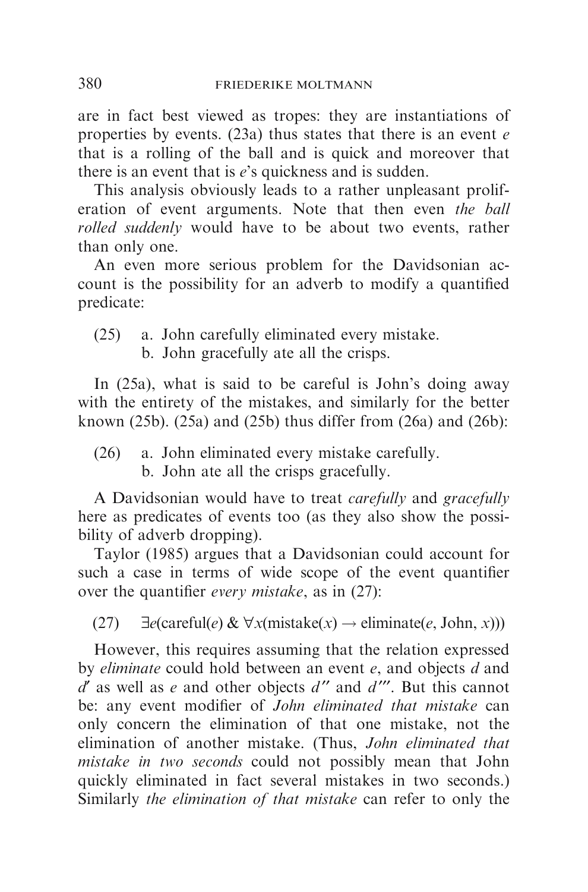are in fact best viewed as tropes: they are instantiations of properties by events. (23a) thus states that there is an event  $e$ that is a rolling of the ball and is quick and moreover that there is an event that is  $e$ 's quickness and is sudden.

This analysis obviously leads to a rather unpleasant proliferation of event arguments. Note that then even the ball rolled suddenly would have to be about two events, rather than only one.

An even more serious problem for the Davidsonian account is the possibility for an adverb to modify a quantified predicate:

(25) a. John carefully eliminated every mistake.

b. John gracefully ate all the crisps.

In (25a), what is said to be careful is John's doing away with the entirety of the mistakes, and similarly for the better known (25b). (25a) and (25b) thus differ from (26a) and (26b):

(26) a. John eliminated every mistake carefully.

b. John ate all the crisps gracefully.

A Davidsonian would have to treat carefully and gracefully here as predicates of events too (as they also show the possibility of adverb dropping).

Taylor (1985) argues that a Davidsonian could account for such a case in terms of wide scope of the event quantifier over the quantifier every mistake, as in (27):

(27)  $\exists e$ (careful $(e) \& \forall x$ (mistake(x)  $\rightarrow$  eliminate(e, John, x)))

However, this requires assuming that the relation expressed by *eliminate* could hold between an event e, and objects d and  $d'$  as well as e and other objects  $d''$  and  $d'''$ . But this cannot be: any event modifier of John eliminated that mistake can only concern the elimination of that one mistake, not the elimination of another mistake. (Thus, John eliminated that mistake in two seconds could not possibly mean that John quickly eliminated in fact several mistakes in two seconds.) Similarly the elimination of that mistake can refer to only the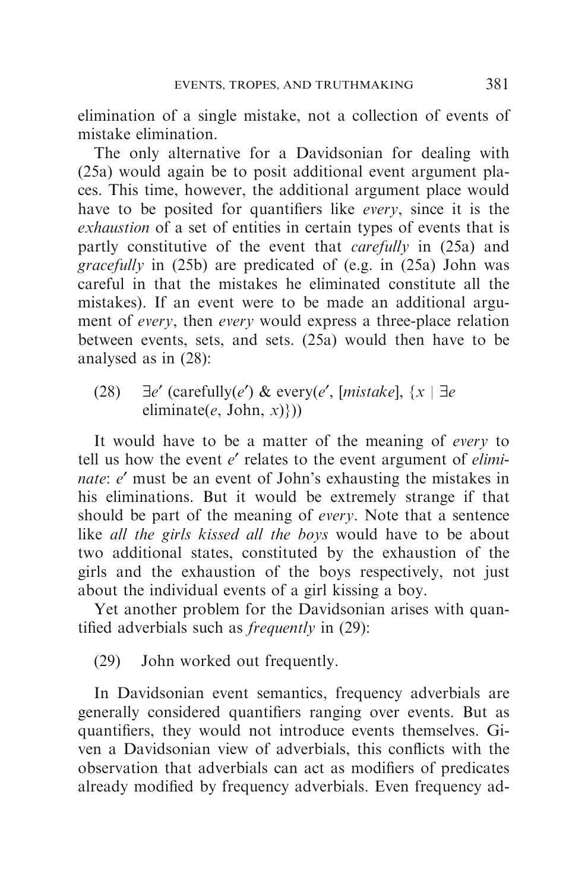elimination of a single mistake, not a collection of events of mistake elimination.

The only alternative for a Davidsonian for dealing with (25a) would again be to posit additional event argument places. This time, however, the additional argument place would have to be posited for quantifiers like *every*, since it is the exhaustion of a set of entities in certain types of events that is partly constitutive of the event that carefully in (25a) and gracefully in (25b) are predicated of (e.g. in (25a) John was careful in that the mistakes he eliminated constitute all the mistakes). If an event were to be made an additional argument of every, then every would express a three-place relation between events, sets, and sets. (25a) would then have to be analysed as in (28):

(28)  $\exists e'$  (carefully(e') & every(e', [mistake],  $\{x \mid \exists e$ eliminate(e, John,  $x$ )}))

It would have to be a matter of the meaning of every to tell us how the event  $e'$  relates to the event argument of  $elimi$ nate: e' must be an event of John's exhausting the mistakes in his eliminations. But it would be extremely strange if that should be part of the meaning of every. Note that a sentence like all the girls kissed all the boys would have to be about two additional states, constituted by the exhaustion of the girls and the exhaustion of the boys respectively, not just about the individual events of a girl kissing a boy.

Yet another problem for the Davidsonian arises with quantified adverbials such as frequently in (29):

(29) John worked out frequently.

In Davidsonian event semantics, frequency adverbials are generally considered quantifiers ranging over events. But as quantifiers, they would not introduce events themselves. Given a Davidsonian view of adverbials, this conflicts with the observation that adverbials can act as modifiers of predicates already modified by frequency adverbials. Even frequency ad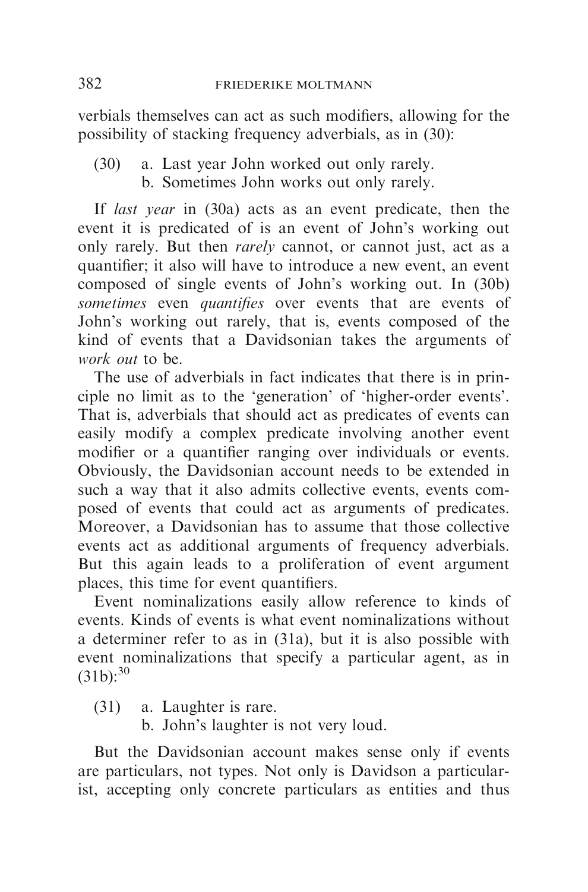verbials themselves can act as such modifiers, allowing for the possibility of stacking frequency adverbials, as in (30):

- (30) a. Last year John worked out only rarely.
	- b. Sometimes John works out only rarely.

If last year in (30a) acts as an event predicate, then the event it is predicated of is an event of John's working out only rarely. But then *rarely* cannot, or cannot just, act as a quantifier; it also will have to introduce a new event, an event composed of single events of John's working out. In (30b) sometimes even quantifies over events that are events of John's working out rarely, that is, events composed of the kind of events that a Davidsonian takes the arguments of work out to be.

The use of adverbials in fact indicates that there is in principle no limit as to the 'generation' of 'higher-order events'. That is, adverbials that should act as predicates of events can easily modify a complex predicate involving another event modifier or a quantifier ranging over individuals or events. Obviously, the Davidsonian account needs to be extended in such a way that it also admits collective events, events composed of events that could act as arguments of predicates. Moreover, a Davidsonian has to assume that those collective events act as additional arguments of frequency adverbials. But this again leads to a proliferation of event argument places, this time for event quantifiers.

Event nominalizations easily allow reference to kinds of events. Kinds of events is what event nominalizations without a determiner refer to as in (31a), but it is also possible with event nominalizations that specify a particular agent, as in  $(31b):^{30}$ 

- (31) a. Laughter is rare.
	- b. John's laughter is not very loud.

But the Davidsonian account makes sense only if events are particulars, not types. Not only is Davidson a particularist, accepting only concrete particulars as entities and thus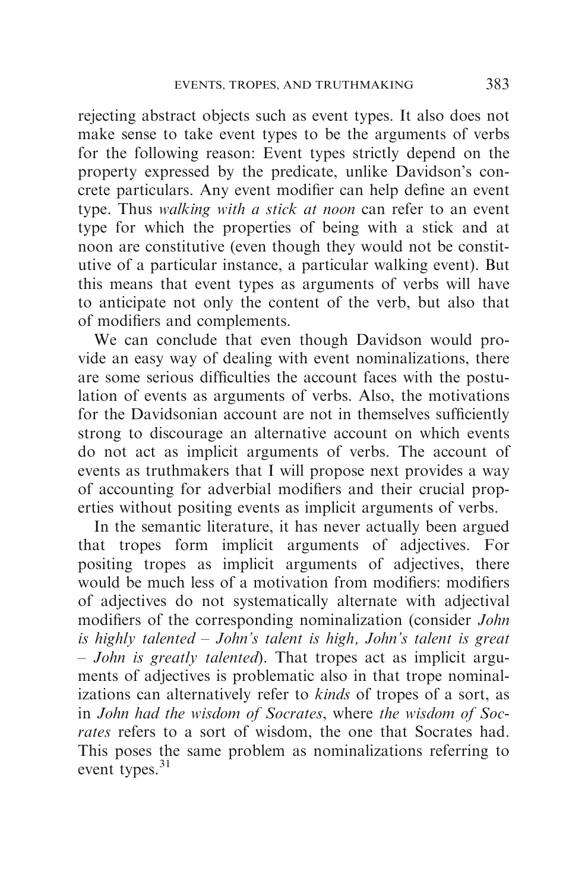rejecting abstract objects such as event types. It also does not make sense to take event types to be the arguments of verbs for the following reason: Event types strictly depend on the property expressed by the predicate, unlike Davidson's concrete particulars. Any event modifier can help define an event type. Thus *walking with a stick at noon* can refer to an event type for which the properties of being with a stick and at noon are constitutive (even though they would not be constitutive of a particular instance, a particular walking event). But this means that event types as arguments of verbs will have to anticipate not only the content of the verb, but also that of modifiers and complements.

We can conclude that even though Davidson would provide an easy way of dealing with event nominalizations, there are some serious difficulties the account faces with the postulation of events as arguments of verbs. Also, the motivations for the Davidsonian account are not in themselves sufficiently strong to discourage an alternative account on which events do not act as implicit arguments of verbs. The account of events as truthmakers that I will propose next provides a way of accounting for adverbial modifiers and their crucial properties without positing events as implicit arguments of verbs.

In the semantic literature, it has never actually been argued that tropes form implicit arguments of adjectives. For positing tropes as implicit arguments of adjectives, there would be much less of a motivation from modifiers: modifiers of adjectives do not systematically alternate with adjectival modifiers of the corresponding nominalization (consider John is highly talented – John's talent is high, John's talent is great – John is greatly talented). That tropes act as implicit arguments of adjectives is problematic also in that trope nominalizations can alternatively refer to kinds of tropes of a sort, as in John had the wisdom of Socrates, where the wisdom of Socrates refers to a sort of wisdom, the one that Socrates had. This poses the same problem as nominalizations referring to event types.<sup>31</sup>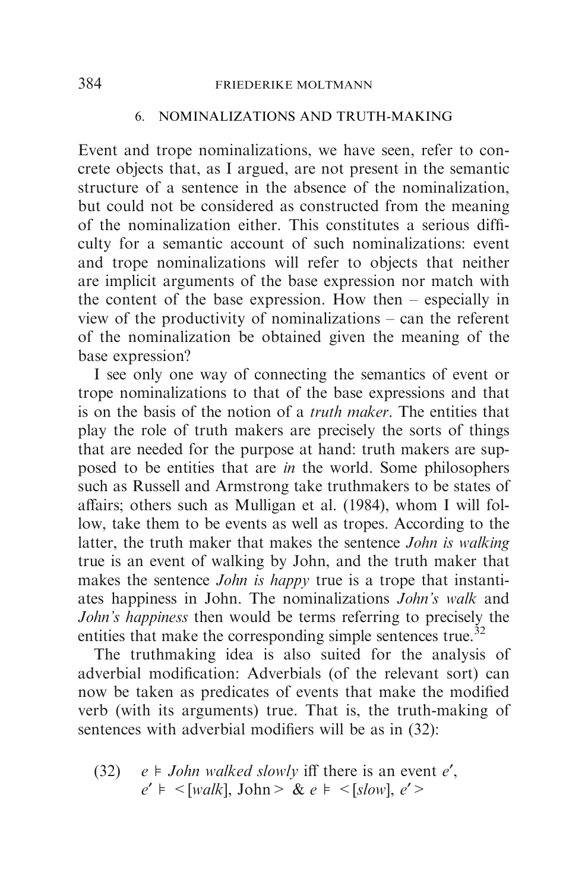### 384 FRIEDERIKE MOLTMANN

### 6. NOMINALIZATIONS AND TRUTH-MAKING

Event and trope nominalizations, we have seen, refer to concrete objects that, as I argued, are not present in the semantic structure of a sentence in the absence of the nominalization, but could not be considered as constructed from the meaning of the nominalization either. This constitutes a serious difficulty for a semantic account of such nominalizations: event and trope nominalizations will refer to objects that neither are implicit arguments of the base expression nor match with the content of the base expression. How then – especially in view of the productivity of nominalizations – can the referent of the nominalization be obtained given the meaning of the base expression?

I see only one way of connecting the semantics of event or trope nominalizations to that of the base expressions and that is on the basis of the notion of a truth maker. The entities that play the role of truth makers are precisely the sorts of things that are needed for the purpose at hand: truth makers are supposed to be entities that are *in* the world. Some philosophers such as Russell and Armstrong take truthmakers to be states of affairs; others such as Mulligan et al. (1984), whom I will follow, take them to be events as well as tropes. According to the latter, the truth maker that makes the sentence John is walking true is an event of walking by John, and the truth maker that makes the sentence *John is happy* true is a trope that instantiates happiness in John. The nominalizations John's walk and John's happiness then would be terms referring to precisely the entities that make the corresponding simple sentences true.<sup>32</sup>

The truthmaking idea is also suited for the analysis of adverbial modification: Adverbials (of the relevant sort) can now be taken as predicates of events that make the modified verb (with its arguments) true. That is, the truth-making of sentences with adverbial modifiers will be as in (32):

(32)  $e \neq John$  walked slowly iff there is an event e',  $e' \models \leq [walk], John \geq \& e \models \leq [slow], e' \geq$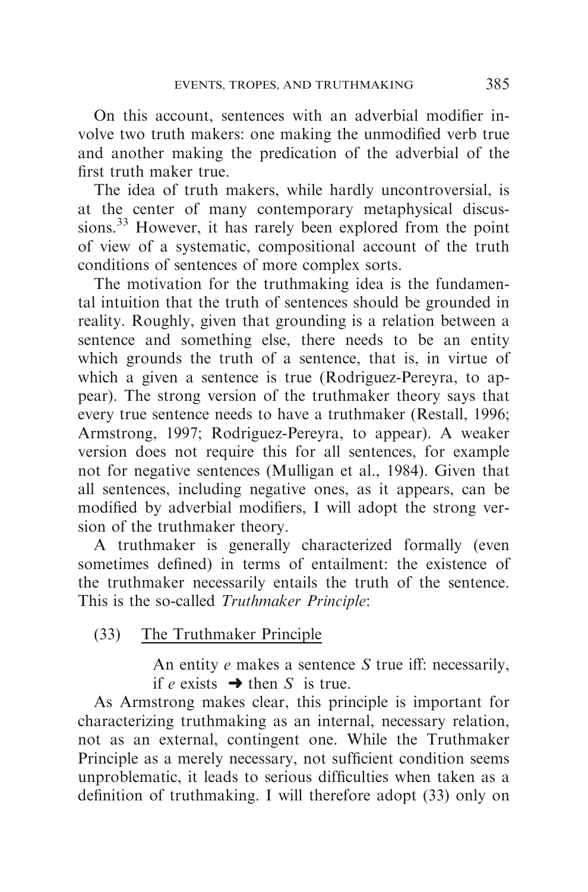On this account, sentences with an adverbial modifier involve two truth makers: one making the unmodified verb true and another making the predication of the adverbial of the first truth maker true.

The idea of truth makers, while hardly uncontroversial, is at the center of many contemporary metaphysical discussions.<sup>33</sup> However, it has rarely been explored from the point of view of a systematic, compositional account of the truth conditions of sentences of more complex sorts.

The motivation for the truthmaking idea is the fundamental intuition that the truth of sentences should be grounded in reality. Roughly, given that grounding is a relation between a sentence and something else, there needs to be an entity which grounds the truth of a sentence, that is, in virtue of which a given a sentence is true (Rodriguez-Pereyra, to appear). The strong version of the truthmaker theory says that every true sentence needs to have a truthmaker (Restall, 1996; Armstrong, 1997; Rodriguez-Pereyra, to appear). A weaker version does not require this for all sentences, for example not for negative sentences (Mulligan et al., 1984). Given that all sentences, including negative ones, as it appears, can be modified by adverbial modifiers, I will adopt the strong version of the truthmaker theory.

A truthmaker is generally characterized formally (even sometimes defined) in terms of entailment: the existence of the truthmaker necessarily entails the truth of the sentence. This is the so-called Truthmaker Principle:

# (33) The Truthmaker Principle

An entity  $e$  makes a sentence  $S$  true iff: necessarily, if e exists  $\rightarrow$  then S is true.

As Armstrong makes clear, this principle is important for characterizing truthmaking as an internal, necessary relation, not as an external, contingent one. While the Truthmaker Principle as a merely necessary, not sufficient condition seems unproblematic, it leads to serious difficulties when taken as a definition of truthmaking. I will therefore adopt (33) only on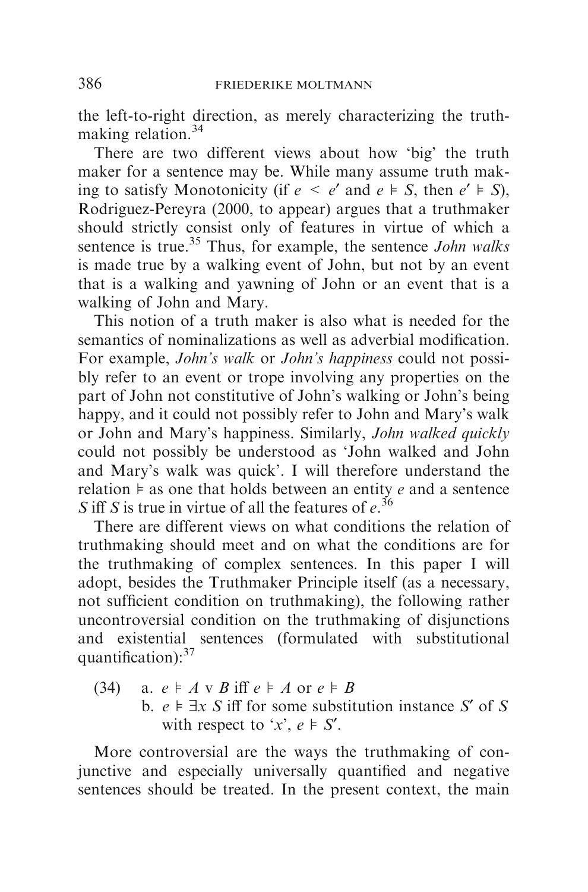the left-to-right direction, as merely characterizing the truthmaking relation.<sup>34</sup>

There are two different views about how 'big' the truth maker for a sentence may be. While many assume truth making to satisfy Monotonicity (if  $e \le e'$  and  $e \models S$ , then  $e' \models S$ ), Rodriguez-Pereyra (2000, to appear) argues that a truthmaker should strictly consist only of features in virtue of which a sentence is true.<sup>35</sup> Thus, for example, the sentence *John walks* is made true by a walking event of John, but not by an event that is a walking and yawning of John or an event that is a walking of John and Mary.

This notion of a truth maker is also what is needed for the semantics of nominalizations as well as adverbial modification. For example, *John's walk* or *John's happiness* could not possibly refer to an event or trope involving any properties on the part of John not constitutive of John's walking or John's being happy, and it could not possibly refer to John and Mary's walk or John and Mary's happiness. Similarly, John walked quickly could not possibly be understood as 'John walked and John and Mary's walk was quick'. I will therefore understand the relation  $\frac{1}{x}$  as one that holds between an entity e and a sentence S iff S is true in virtue of all the features of  $e^{36}$ 

There are different views on what conditions the relation of truthmaking should meet and on what the conditions are for the truthmaking of complex sentences. In this paper I will adopt, besides the Truthmaker Principle itself (as a necessary, not sufficient condition on truthmaking), the following rather uncontroversial condition on the truthmaking of disjunctions and existential sentences (formulated with substitutional quantification):<sup>37</sup>

(34) a.  $e \models A \lor B$  iff  $e \models A$  or  $e \models B$ b.  $e \models \exists x \ S$  iff for some substitution instance S' of S with respect to 'x',  $e \models S'$ .

More controversial are the ways the truthmaking of conjunctive and especially universally quantified and negative sentences should be treated. In the present context, the main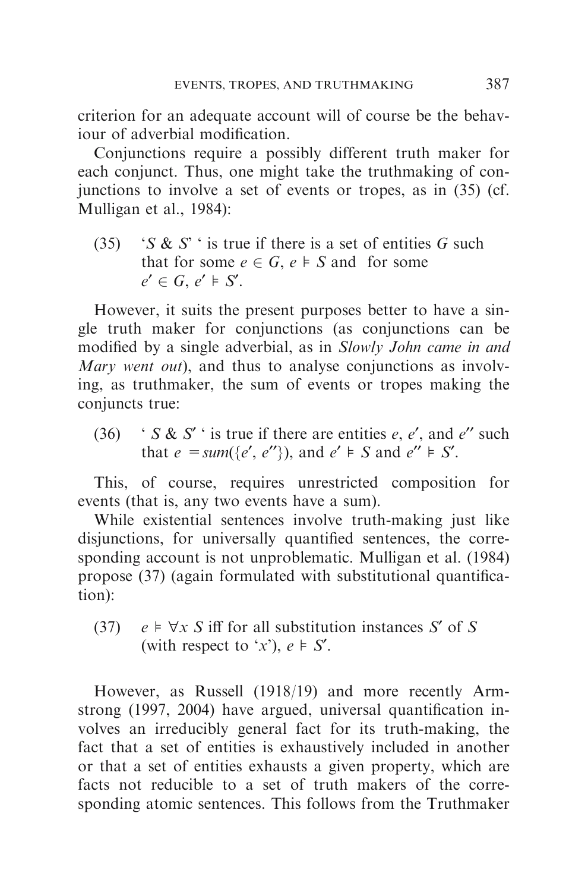criterion for an adequate account will of course be the behaviour of adverbial modification.

Conjunctions require a possibly different truth maker for each conjunct. Thus, one might take the truthmaking of conjunctions to involve a set of events or tropes, as in (35) (cf. Mulligan et al., 1984):

(35) 'S & S' ' is true if there is a set of entities G such that for some  $e \in G$ ,  $e \models S$  and for some  $e' \in G$ ,  $e' \models S'$ .

However, it suits the present purposes better to have a single truth maker for conjunctions (as conjunctions can be modified by a single adverbial, as in Slowly John came in and Mary went out), and thus to analyse conjunctions as involving, as truthmaker, the sum of events or tropes making the conjuncts true:

(36) ' S & S' is true if there are entities e, e', and e'' such that  $e = sum({e', e''})$ , and  $e' \models S$  and  $e'' \models S'$ .

This, of course, requires unrestricted composition for events (that is, any two events have a sum).

While existential sentences involve truth-making just like disjunctions, for universally quantified sentences, the corresponding account is not unproblematic. Mulligan et al. (1984) propose (37) (again formulated with substitutional quantification):

(37)  $e \models \forall x \ S$  iff for all substitution instances S' of S (with respect to 'x'),  $e \models S'$ .

However, as Russell (1918/19) and more recently Armstrong (1997, 2004) have argued, universal quantification involves an irreducibly general fact for its truth-making, the fact that a set of entities is exhaustively included in another or that a set of entities exhausts a given property, which are facts not reducible to a set of truth makers of the corresponding atomic sentences. This follows from the Truthmaker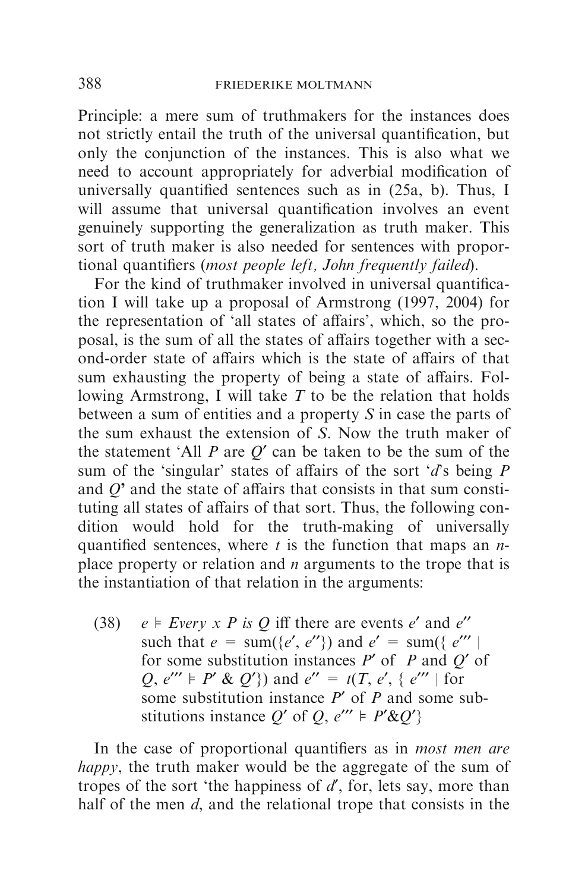Principle: a mere sum of truthmakers for the instances does not strictly entail the truth of the universal quantification, but only the conjunction of the instances. This is also what we need to account appropriately for adverbial modification of universally quantified sentences such as in (25a, b). Thus, I will assume that universal quantification involves an event genuinely supporting the generalization as truth maker. This sort of truth maker is also needed for sentences with proportional quantifiers (most people left, John frequently failed).

For the kind of truthmaker involved in universal quantification I will take up a proposal of Armstrong (1997, 2004) for the representation of 'all states of affairs', which, so the proposal, is the sum of all the states of affairs together with a second-order state of affairs which is the state of affairs of that sum exhausting the property of being a state of affairs. Following Armstrong, I will take  $T$  to be the relation that holds between a sum of entities and a property S in case the parts of the sum exhaust the extension of S. Now the truth maker of the statement 'All  $P$  are  $Q'$  can be taken to be the sum of the sum of the 'singular' states of affairs of the sort 'd's being  $P$ and Q*'* and the state of affairs that consists in that sum constituting all states of affairs of that sort. Thus, the following condition would hold for the truth-making of universally quantified sentences, where  $t$  is the function that maps an  $n$ place property or relation and  $n$  arguments to the trope that is the instantiation of that relation in the arguments:

(38)  $e \models Every \times P$  is Q iff there are events e' and e'' such that  $e = \text{sum}(\{e', e''\})$  and  $e' = \text{sum}(\{e'''\})$ for some substitution instances  $P'$  of P and O' of  $Q, e'' \models P' \& Q'$  and  $e'' = t(T, e', \{ e''' \mid \text{for }$ some substitution instance  $P'$  of P and some substitutions instance Q' of Q,  $e^{\prime\prime\prime} \models P' \& Q'$ 

In the case of proportional quantifiers as in most men are happy, the truth maker would be the aggregate of the sum of tropes of the sort 'the happiness of  $d'$ , for, lets say, more than half of the men d, and the relational trope that consists in the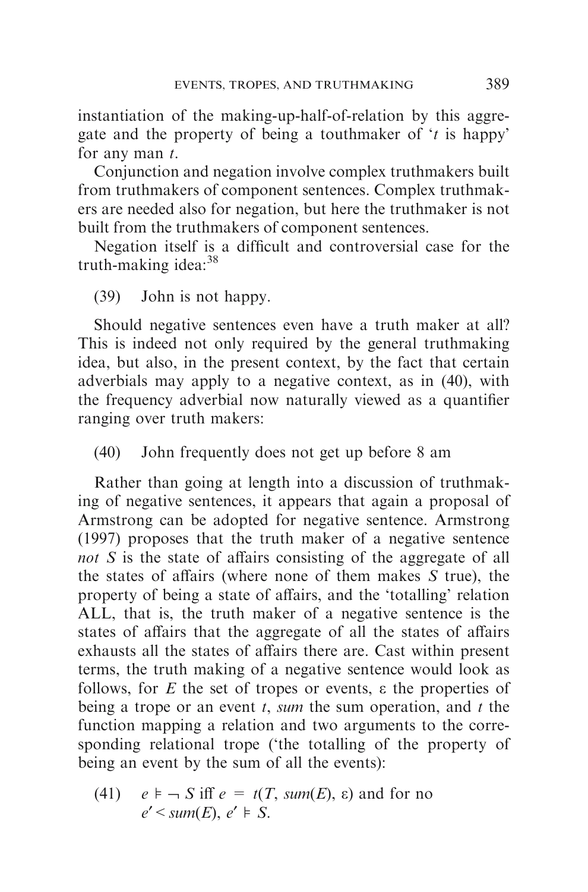instantiation of the making-up-half-of-relation by this aggregate and the property of being a touthmaker of  $t$  is happy' for any man  $t$ .

Conjunction and negation involve complex truthmakers built from truthmakers of component sentences. Complex truthmakers are needed also for negation, but here the truthmaker is not built from the truthmakers of component sentences.

Negation itself is a difficult and controversial case for the truth-making idea: $38$ 

# (39) John is not happy.

Should negative sentences even have a truth maker at all? This is indeed not only required by the general truthmaking idea, but also, in the present context, by the fact that certain adverbials may apply to a negative context, as in (40), with the frequency adverbial now naturally viewed as a quantifier ranging over truth makers:

(40) John frequently does not get up before 8 am

Rather than going at length into a discussion of truthmaking of negative sentences, it appears that again a proposal of Armstrong can be adopted for negative sentence. Armstrong (1997) proposes that the truth maker of a negative sentence not S is the state of affairs consisting of the aggregate of all the states of affairs (where none of them makes S true), the property of being a state of affairs, and the 'totalling' relation ALL, that is, the truth maker of a negative sentence is the states of affairs that the aggregate of all the states of affairs exhausts all the states of affairs there are. Cast within present terms, the truth making of a negative sentence would look as follows, for  $E$  the set of tropes or events,  $\varepsilon$  the properties of being a trope or an event  $t$ , sum the sum operation, and  $t$  the function mapping a relation and two arguments to the corresponding relational trope ('the totalling of the property of being an event by the sum of all the events):

(41) 
$$
e \models \neg S
$$
 iff  $e = t(T, sum(E), \epsilon)$  and for no  $e' < sum(E), e' \models S$ .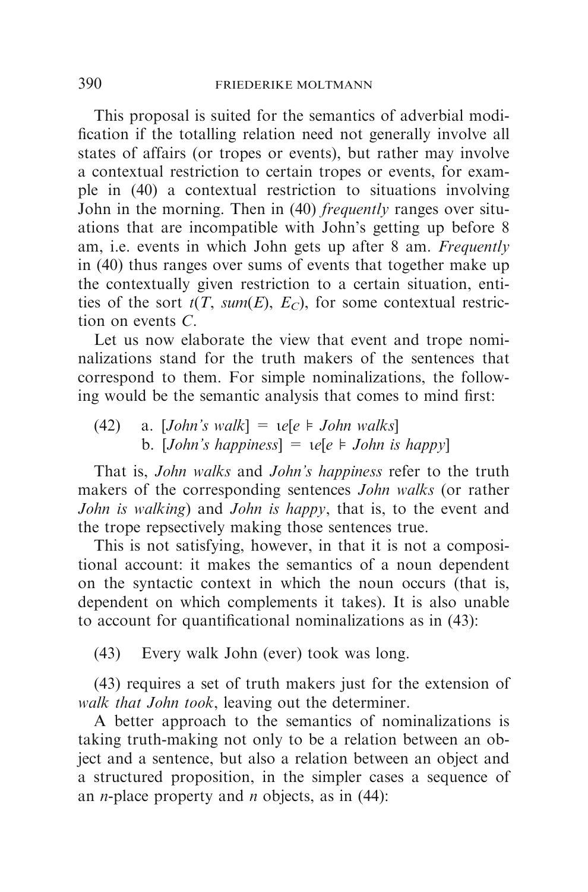This proposal is suited for the semantics of adverbial modification if the totalling relation need not generally involve all states of affairs (or tropes or events), but rather may involve a contextual restriction to certain tropes or events, for example in (40) a contextual restriction to situations involving John in the morning. Then in (40) *frequently* ranges over situations that are incompatible with John's getting up before 8 am, i.e. events in which John gets up after 8 am. Frequently in (40) thus ranges over sums of events that together make up the contextually given restriction to a certain situation, entities of the sort  $t(T, sum(E), E_C)$ , for some contextual restriction on events C.

Let us now elaborate the view that event and trope nominalizations stand for the truth makers of the sentences that correspond to them. For simple nominalizations, the following would be the semantic analysis that comes to mind first:

(42) a. [*John's walk*] =  $ie[e \models John walks]$ b. [John's happiness] =  $\iota$ e[e  $\models$  John is happy]

That is, John walks and John's happiness refer to the truth makers of the corresponding sentences John walks (or rather John is walking) and John is happy, that is, to the event and the trope repsectively making those sentences true.

This is not satisfying, however, in that it is not a compositional account: it makes the semantics of a noun dependent on the syntactic context in which the noun occurs (that is, dependent on which complements it takes). It is also unable to account for quantificational nominalizations as in (43):

(43) Every walk John (ever) took was long.

(43) requires a set of truth makers just for the extension of walk that John took, leaving out the determiner.

A better approach to the semantics of nominalizations is taking truth-making not only to be a relation between an object and a sentence, but also a relation between an object and a structured proposition, in the simpler cases a sequence of an *n*-place property and *n* objects, as in  $(44)$ :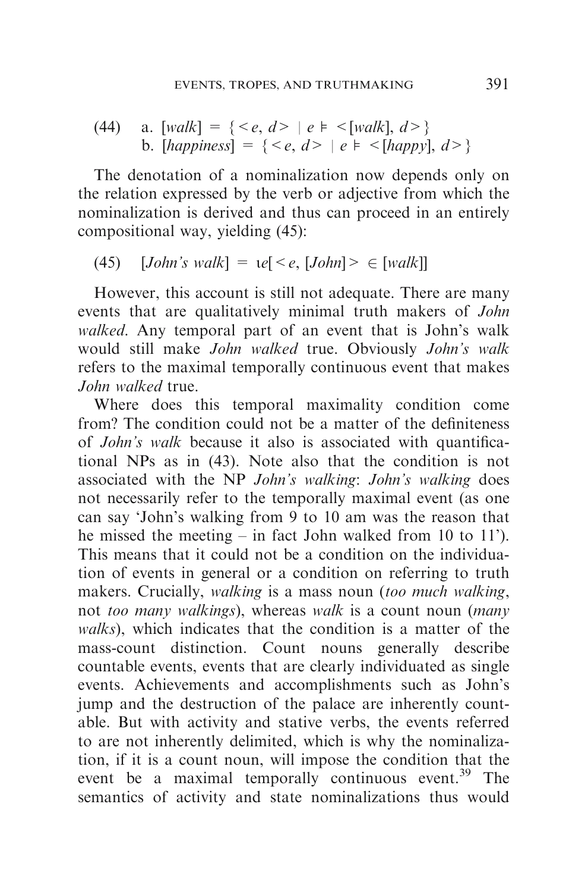(44) a. [walk] = {<e, d> | e " <[walk], d>} b. [happiness] = {<e, d> | e " <[happy], d>}

The denotation of a nominalization now depends only on the relation expressed by the verb or adjective from which the nominalization is derived and thus can proceed in an entirely compositional way, yielding (45):

$$
(45) \quad [John's walk] = \mathit{te}[\langle e, [John] \rangle \in [walk]]
$$

However, this account is still not adequate. There are many events that are qualitatively minimal truth makers of John walked. Any temporal part of an event that is John's walk would still make John walked true. Obviously John's walk refers to the maximal temporally continuous event that makes John walked true.

Where does this temporal maximality condition come from? The condition could not be a matter of the definiteness of John's walk because it also is associated with quantificational NPs as in (43). Note also that the condition is not associated with the NP John's walking: John's walking does not necessarily refer to the temporally maximal event (as one can say 'John's walking from 9 to 10 am was the reason that he missed the meeting – in fact John walked from 10 to 11'). This means that it could not be a condition on the individuation of events in general or a condition on referring to truth makers. Crucially, *walking* is a mass noun (too much walking, not *too many walkings*), whereas *walk* is a count noun (*many* walks), which indicates that the condition is a matter of the mass-count distinction. Count nouns generally describe countable events, events that are clearly individuated as single events. Achievements and accomplishments such as John's jump and the destruction of the palace are inherently countable. But with activity and stative verbs, the events referred to are not inherently delimited, which is why the nominalization, if it is a count noun, will impose the condition that the event be a maximal temporally continuous event.<sup>39</sup> The semantics of activity and state nominalizations thus would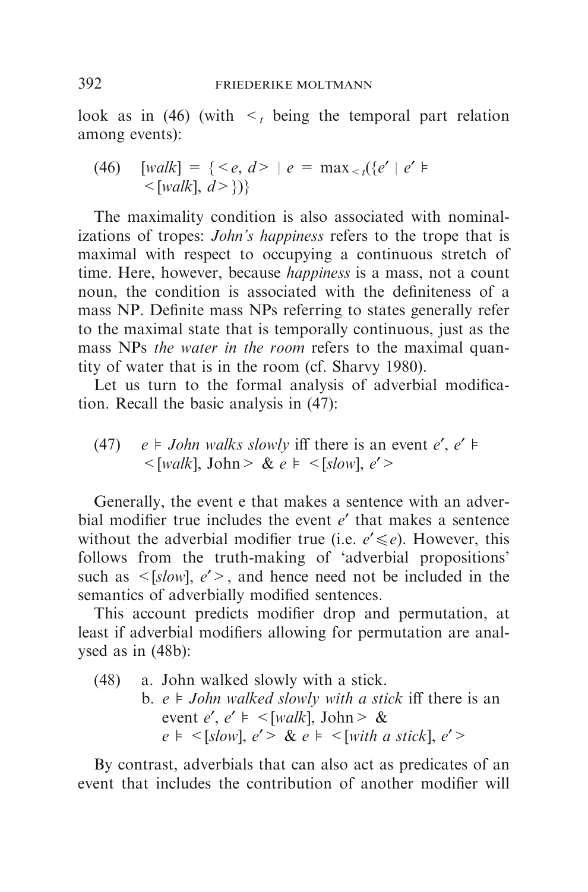look as in (46) (with  $\leq t$  being the temporal part relation among events):

(46) 
$$
[walk] = \{  | e = max_{| walk], d> \})\}
$$

The maximality condition is also associated with nominalizations of tropes: *John's happiness* refers to the trope that is maximal with respect to occupying a continuous stretch of time. Here, however, because *happiness* is a mass, not a count noun, the condition is associated with the definiteness of a mass NP. Definite mass NPs referring to states generally refer to the maximal state that is temporally continuous, just as the mass NPs the water in the room refers to the maximal quantity of water that is in the room (cf. Sharvy 1980).

Let us turn to the formal analysis of adverbial modification. Recall the basic analysis in (47):

(47) 
$$
e \models John walks slowly iff there is an event  $e', e' \models$   
\n $\langle [walk], John \rangle \& e \models \langle [slow], e' \rangle$
$$

Generally, the event e that makes a sentence with an adverbial modifier true includes the event  $e'$  that makes a sentence without the adverbial modifier true (i.e.  $e' \le e$ ). However, this follows from the truth-making of 'adverbial propositions' such as  $\leq$ [slow],  $e'$ >, and hence need not be included in the semantics of adverbially modified sentences.

This account predicts modifier drop and permutation, at least if adverbial modifiers allowing for permutation are analysed as in (48b):

(48) a. John walked slowly with a stick.

b.  $e \models John$  walked slowly with a stick iff there is an event e', e'  $\models$  <[walk], John > &  $e \models \leq [slow], e' > \& e \models \leq [with a stick], e' >$ 

By contrast, adverbials that can also act as predicates of an event that includes the contribution of another modifier will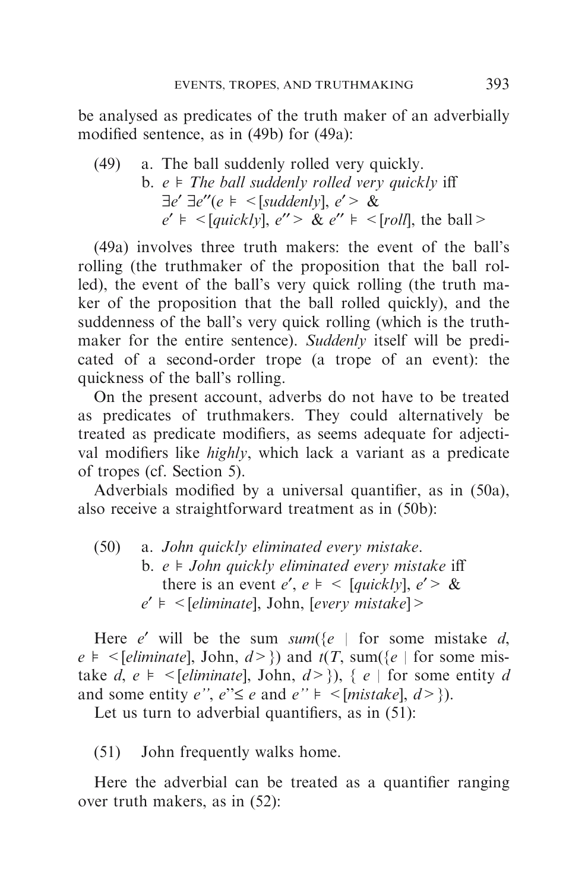be analysed as predicates of the truth maker of an adverbially modified sentence, as in (49b) for (49a):

\n- (49) a. The ball suddenly rolled very quickly.
\n- b. 
$$
e \models
$$
 *The ball suddenly rolled very quickly* iff  $\exists e' \exists e'' (e \models < [suddenly], e' > \& e' \models < [quickly], e'' > \& e'' \models < [roll], the ball > \exists e' \models < [quickly], e'' > \& e'' \models < [roll], the ball > \exists e' \in [val, e' \land \& e'' \models < [roll], \forall e' \in [val, e' \land \& e'' \models < [val, e' \land \& e'' \models < [val, e' \land \& e'' \models < [val, e' \land \& e'' \models < [val, e' \land \& e'' \models < [val, e' \land \& e'' \models < [val, e' \land \& e'' \models < [val, e' \land \& e'' \land \& e'' \models < [val, e' \land \& e'' \land \& e'' \models < [val, e' \land \& e'' \land \& e'' \models < [val, e' \land \& e'' \land \& e'' \land \& e'' \land \& e'' \land \& e'' \land \& e'' \land \& e'' \land \& e'' \land \& e'' \land \& e'' \land \& e'' \land \& e'' \land \& e'' \land \& e'' \land \& e'' \land \& e'' \land \& e'' \land \& e'' \land \& e'' \land \& e'' \land \& e'' \land \& e'' \land \& e'' \land \& e'' \land \& e'' \land \& e'' \land \& e'' \land \& e'' \land \& e'' \land \& e'' \land \& e'' \land \& e'' \land \& e'' \land \& e'' \land \& e'' \land \& e'' \land \& e'' \land \& e'' \land \& e'' \land \& e'' \land \& e'' \land \& e'' \land \& e'' \land \& e'' \land \& e'' \land \& e$

(49a) involves three truth makers: the event of the ball's rolling (the truthmaker of the proposition that the ball rolled), the event of the ball's very quick rolling (the truth maker of the proposition that the ball rolled quickly), and the suddenness of the ball's very quick rolling (which is the truthmaker for the entire sentence). Suddenly itself will be predicated of a second-order trope (a trope of an event): the quickness of the ball's rolling.

On the present account, adverbs do not have to be treated as predicates of truthmakers. They could alternatively be treated as predicate modifiers, as seems adequate for adjectival modifiers like *highly*, which lack a variant as a predicate of tropes (cf. Section 5).

Adverbials modified by a universal quantifier, as in (50a), also receive a straightforward treatment as in (50b):

(50) a. John quickly eliminated every mistake. b.  $e \models John$  quickly eliminated every mistake iff there is an event e',  $e \models \leq [quick/v], e' > \&$  $e' \models \le$ [eliminate], John, [every mistake] >

Here e' will be the sum  $sum({e \mid for some mistake d},$  $e \models \{eliminate\}, John, d \ge \})$  and  $t(T, sum({e | for some mis$ take d,  $e \models \{ \in \text{eliminate} \}$ , John,  $d \ge \}$ ),  $\{ e \mid \text{for some entity } d \}$ and some entity e'',  $e' \le e$  and  $e' \ne \{ \min \{ k \} , d \ge \}$ ).

Let us turn to adverbial quantifiers, as in  $(51)$ :

(51) John frequently walks home.

Here the adverbial can be treated as a quantifier ranging over truth makers, as in (52):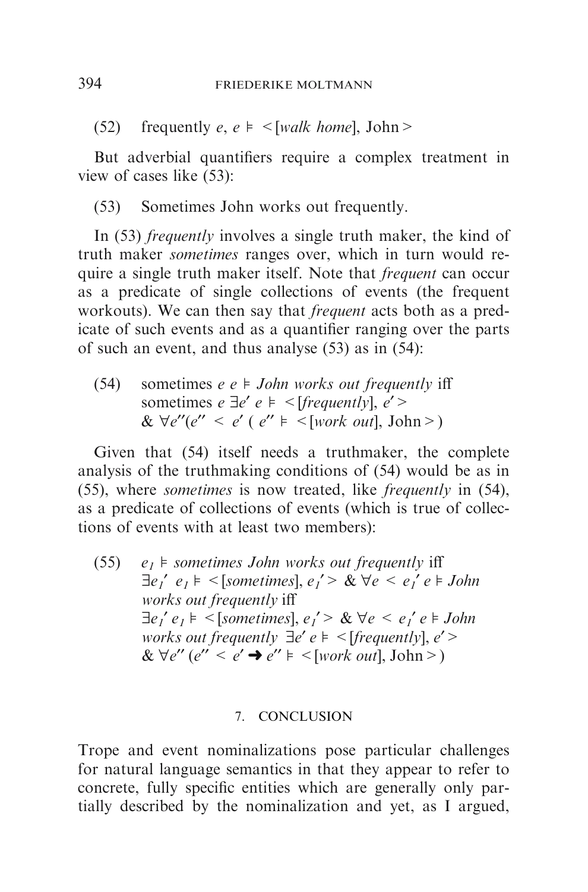(52) frequently  $e, e \models \leq [walk \; home], John \geq$ 

But adverbial quantifiers require a complex treatment in view of cases like (53):

(53) Sometimes John works out frequently.

In (53) *frequently* involves a single truth maker, the kind of truth maker sometimes ranges over, which in turn would require a single truth maker itself. Note that frequent can occur as a predicate of single collections of events (the frequent workouts). We can then say that frequent acts both as a predicate of such events and as a quantifier ranging over the parts of such an event, and thus analyse (53) as in (54):

(54) sometimes  $e e \models John works out frequently iff$ sometimes  $e \exists e' e \models \leq [frequently], e' \geq$ &  $\forall e''(e'' < e' (e'' \models \leq [work out], John>)$ 

Given that (54) itself needs a truthmaker, the complete analysis of the truthmaking conditions of (54) would be as in (55), where sometimes is now treated, like frequently in (54), as a predicate of collections of events (which is true of collections of events with at least two members):

(55)  $e_1$   $\models$  sometimes John works out frequently iff  $\exists e_1' e_1 \models \leq$ [sometimes],  $e_1' > \& \forall e \leq e_1' e \models John$ works out frequently iff  $\exists e_1' e_1 \models \leq$ [sometimes],  $e_1' > \& \forall e \leq e_1' e \models John$ works out frequently  $\exists e' e \models \leq$  [frequently],  $e'$  >  $& \forall e'' (e'' < e' \rightarrow e'' \models \leq [work out], John \geq )$ 

#### 7. CONCLUSION

Trope and event nominalizations pose particular challenges for natural language semantics in that they appear to refer to concrete, fully specific entities which are generally only partially described by the nominalization and yet, as I argued,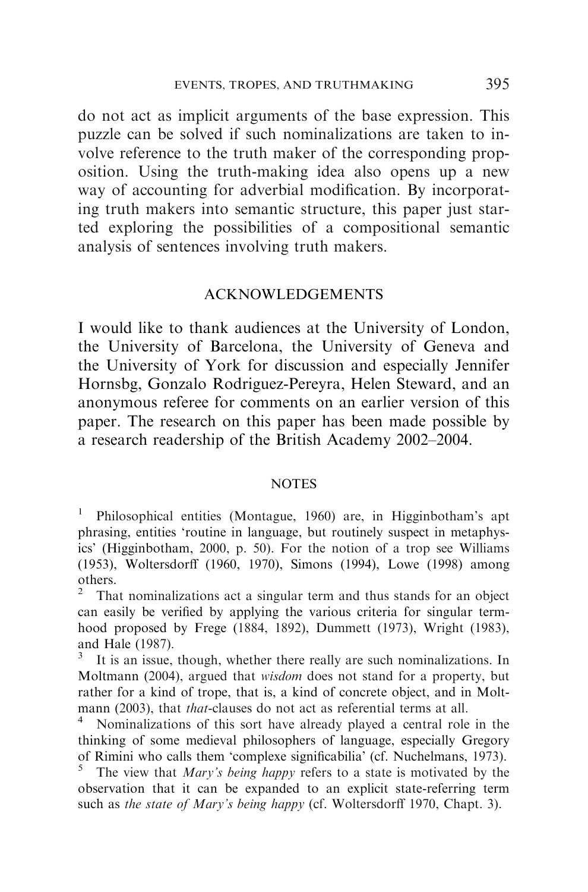do not act as implicit arguments of the base expression. This puzzle can be solved if such nominalizations are taken to involve reference to the truth maker of the corresponding proposition. Using the truth-making idea also opens up a new way of accounting for adverbial modification. By incorporating truth makers into semantic structure, this paper just started exploring the possibilities of a compositional semantic analysis of sentences involving truth makers.

#### ACKNOWLEDGEMENTS

I would like to thank audiences at the University of London, the University of Barcelona, the University of Geneva and the University of York for discussion and especially Jennifer Hornsbg, Gonzalo Rodriguez-Pereyra, Helen Steward, and an anonymous referee for comments on an earlier version of this paper. The research on this paper has been made possible by a research readership of the British Academy 2002–2004.

#### **NOTES**

<sup>1</sup> Philosophical entities (Montague, 1960) are, in Higginbotham's apt phrasing, entities 'routine in language, but routinely suspect in metaphysics' (Higginbotham, 2000, p. 50). For the notion of a trop see Williams (1953), Woltersdorff (1960, 1970), Simons (1994), Lowe (1998) among others.

<sup>2</sup> That nominalizations act a singular term and thus stands for an object can easily be verified by applying the various criteria for singular termhood proposed by Frege (1884, 1892), Dummett (1973), Wright (1983), and Hale (1987).

It is an issue, though, whether there really are such nominalizations. In Moltmann (2004), argued that wisdom does not stand for a property, but rather for a kind of trope, that is, a kind of concrete object, and in Moltmann (2003), that *that*-clauses do not act as referential terms at all.

Nominalizations of this sort have already played a central role in the thinking of some medieval philosophers of language, especially Gregory of Rimini who calls them 'complexe significabilia' (cf. Nuchelmans, 1973).

The view that *Mary's being happy* refers to a state is motivated by the observation that it can be expanded to an explicit state-referring term such as the state of Mary's being happy (cf. Woltersdorff 1970, Chapt. 3).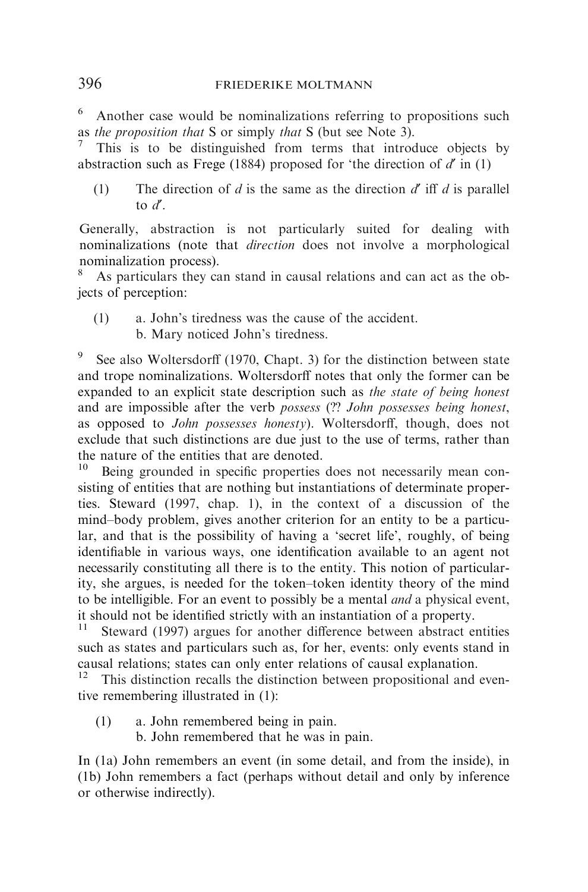### 396 FRIEDERIKE MOLTMANN

<sup>6</sup> Another case would be nominalizations referring to propositions such as the proposition that S or simply that S (but see Note 3).

This is to be distinguished from terms that introduce objects by abstraction such as Frege (1884) proposed for 'the direction of  $d'$  in (1)

(1) The direction of d is the same as the direction  $d'$  iff d is parallel to  $d'$ .

Generally, abstraction is not particularly suited for dealing with nominalizations (note that *direction* does not involve a morphological nominalization process).

As particulars they can stand in causal relations and can act as the objects of perception:

(1) a. John's tiredness was the cause of the accident. b. Mary noticed John's tiredness.

See also Woltersdorff (1970, Chapt. 3) for the distinction between state and trope nominalizations. Woltersdorff notes that only the former can be expanded to an explicit state description such as the state of being honest and are impossible after the verb possess (?? John possesses being honest, as opposed to John possesses honesty). Woltersdorff, though, does not exclude that such distinctions are due just to the use of terms, rather than the nature of the entities that are denoted.<br> $\frac{10}{10}$  Being grounded in specific properties.

Being grounded in specific properties does not necessarily mean consisting of entities that are nothing but instantiations of determinate properties. Steward (1997, chap. 1), in the context of a discussion of the mind–body problem, gives another criterion for an entity to be a particular, and that is the possibility of having a 'secret life', roughly, of being identifiable in various ways, one identification available to an agent not necessarily constituting all there is to the entity. This notion of particularity, she argues, is needed for the token–token identity theory of the mind to be intelligible. For an event to possibly be a mental and a physical event, it should not be identified strictly with an instantiation of a property.

Steward (1997) argues for another difference between abstract entities such as states and particulars such as, for her, events: only events stand in causal relations; states can only enter relations of causal explanation.

This distinction recalls the distinction between propositional and eventive remembering illustrated in (1):

- (1) a. John remembered being in pain.
	- b. John remembered that he was in pain.

In (1a) John remembers an event (in some detail, and from the inside), in (1b) John remembers a fact (perhaps without detail and only by inference or otherwise indirectly).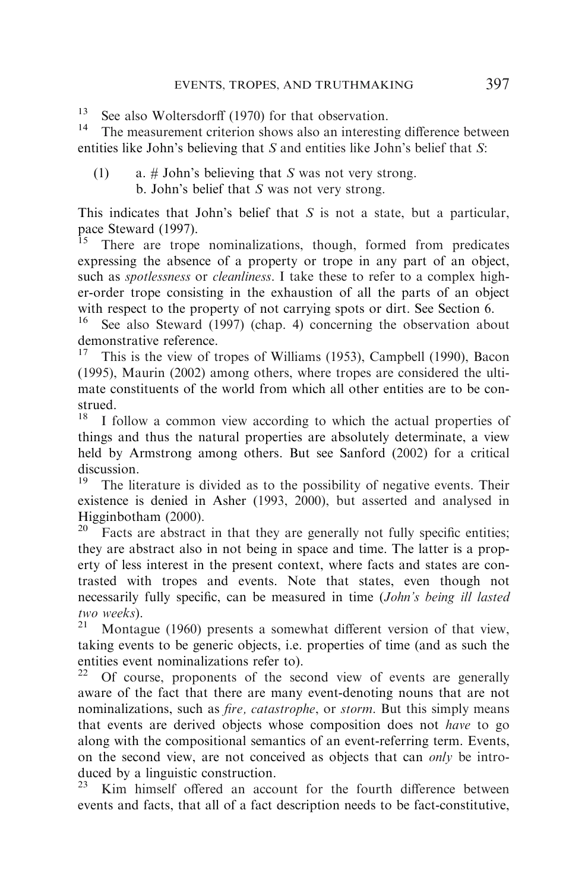<sup>13</sup> See also Woltersdorff (1970) for that observation.

The measurement criterion shows also an interesting difference between entities like John's believing that S and entities like John's belief that S:

(1) a.  $\#$  John's believing that S was not very strong. b. John's belief that S was not very strong.

This indicates that John's belief that  $S$  is not a state, but a particular, pace Steward (1997).<br><sup>15</sup> There are trope

There are trope nominalizations, though, formed from predicates expressing the absence of a property or trope in any part of an object, such as *spotlessness* or *cleanliness*. I take these to refer to a complex higher-order trope consisting in the exhaustion of all the parts of an object with respect to the property of not carrying spots or dirt. See Section 6.

See also Steward (1997) (chap. 4) concerning the observation about demonstrative reference.

<sup>17</sup> This is the view of tropes of Williams (1953), Campbell (1990), Bacon (1995), Maurin (2002) among others, where tropes are considered the ultimate constituents of the world from which all other entities are to be construed.<br> $\frac{18}{1}$ 

I follow a common view according to which the actual properties of things and thus the natural properties are absolutely determinate, a view held by Armstrong among others. But see Sanford (2002) for a critical discussion.<br> $19 \text{ T} \cdot 11$ 

The literature is divided as to the possibility of negative events. Their existence is denied in Asher (1993, 2000), but asserted and analysed in Higginbotham (2000).

Facts are abstract in that they are generally not fully specific entities; they are abstract also in not being in space and time. The latter is a property of less interest in the present context, where facts and states are contrasted with tropes and events. Note that states, even though not necessarily fully specific, can be measured in time (John's being ill lasted two weeks).<br> $21$  Montag

Montague (1960) presents a somewhat different version of that view, taking events to be generic objects, i.e. properties of time (and as such the entities event nominalizations refer to).<br><sup>22</sup> Of course, proponents of the sec

Of course, proponents of the second view of events are generally aware of the fact that there are many event-denoting nouns that are not nominalizations, such as *fire, catastrophe*, or *storm*. But this simply means that events are derived objects whose composition does not have to go along with the compositional semantics of an event-referring term. Events, on the second view, are not conceived as objects that can *only* be introduced by a linguistic construction.

Kim himself offered an account for the fourth difference between events and facts, that all of a fact description needs to be fact-constitutive,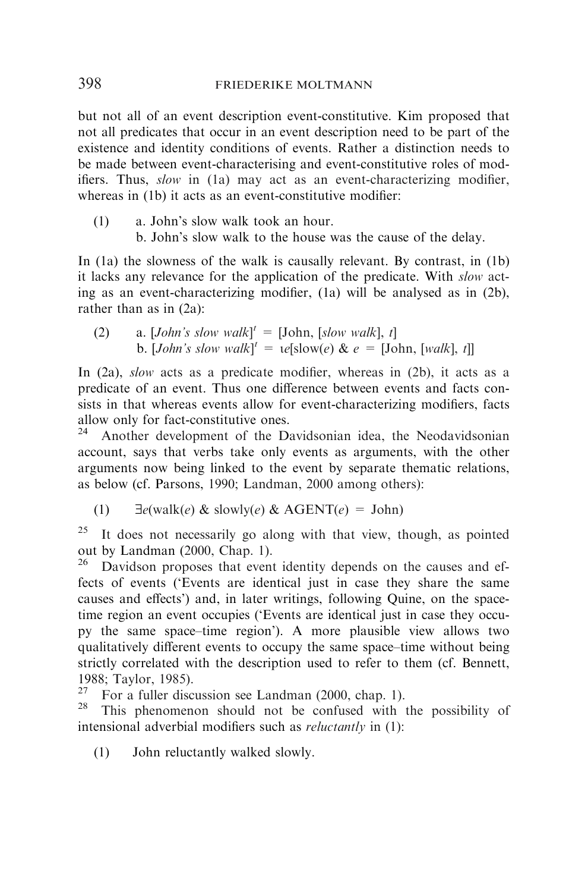but not all of an event description event-constitutive. Kim proposed that not all predicates that occur in an event description need to be part of the existence and identity conditions of events. Rather a distinction needs to be made between event-characterising and event-constitutive roles of modifiers. Thus, slow in (1a) may act as an event-characterizing modifier, whereas in (1b) it acts as an event-constitutive modifier:

(1) a. John's slow walk took an hour. b. John's slow walk to the house was the cause of the delay.

In (1a) the slowness of the walk is causally relevant. By contrast, in (1b) it lacks any relevance for the application of the predicate. With *slow* acting as an event-characterizing modifier, (1a) will be analysed as in (2b), rather than as in (2a):

(2) a. [John's slow walk]<sup>t</sup> = [John, [slow walk], t] b. [*John's slow walk*]<sup> $t = \iota e$ [slow(e) & e = [John, [walk], t]]</sup>

In  $(2a)$ , *slow* acts as a predicate modifier, whereas in  $(2b)$ , it acts as a predicate of an event. Thus one difference between events and facts consists in that whereas events allow for event-characterizing modifiers, facts allow only for fact-constitutive ones.<br> $24$  Another development of the De

Another development of the Davidsonian idea, the Neodavidsonian account, says that verbs take only events as arguments, with the other arguments now being linked to the event by separate thematic relations, as below (cf. Parsons, 1990; Landman, 2000 among others):

(1)  $\exists e(walk(e) \& slowly(e) \& AGENT(e) = John)$ 

 $25$  It does not necessarily go along with that view, though, as pointed out by Landman  $(2000, \text{Chap. } 1)$ .<br><sup>26</sup> Davidson proposes that even

Davidson proposes that event identity depends on the causes and effects of events ('Events are identical just in case they share the same causes and effects') and, in later writings, following Quine, on the spacetime region an event occupies ('Events are identical just in case they occupy the same space–time region'). A more plausible view allows two qualitatively different events to occupy the same space–time without being strictly correlated with the description used to refer to them (cf. Bennett, 1988; Taylor, 1985).<br><sup>27</sup> Ean a fuller disc

For a fuller discussion see Landman (2000, chap. 1).

This phenomenon should not be confused with the possibility of intensional adverbial modifiers such as *reluctantly* in (1):

(1) John reluctantly walked slowly.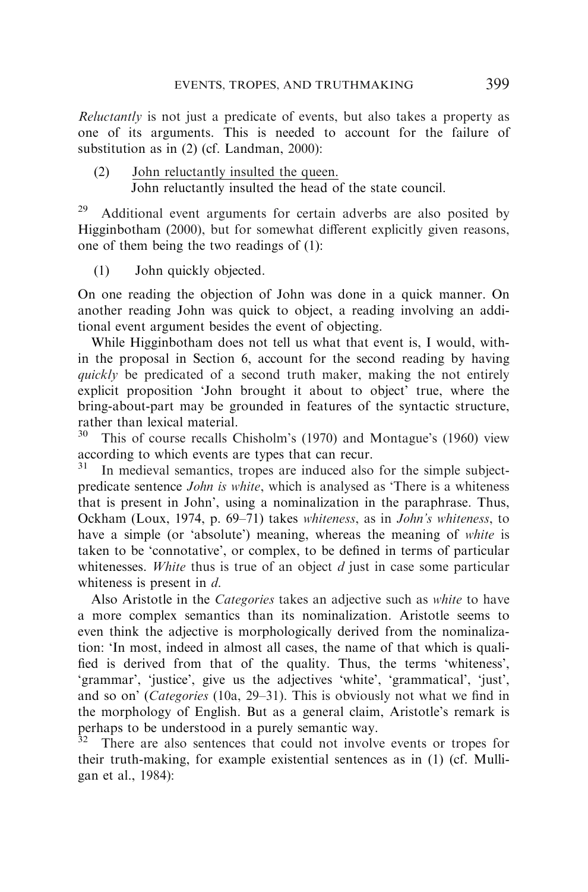Reluctantly is not just a predicate of events, but also takes a property as one of its arguments. This is needed to account for the failure of substitution as in (2) (cf. Landman, 2000):

(2) John reluctantly insulted the queen. John reluctantly insulted the head of the state council.

 $29$  Additional event arguments for certain adverbs are also posited by Higginbotham (2000), but for somewhat different explicitly given reasons, one of them being the two readings of (1):

(1) John quickly objected.

On one reading the objection of John was done in a quick manner. On another reading John was quick to object, a reading involving an additional event argument besides the event of objecting.

While Higginbotham does not tell us what that event is, I would, within the proposal in Section 6, account for the second reading by having quickly be predicated of a second truth maker, making the not entirely explicit proposition 'John brought it about to object' true, where the bring-about-part may be grounded in features of the syntactic structure, rather than lexical material.

This of course recalls Chisholm's (1970) and Montague's (1960) view according to which events are types that can recur.

In medieval semantics, tropes are induced also for the simple subjectpredicate sentence *John is white*, which is analysed as 'There is a whiteness that is present in John', using a nominalization in the paraphrase. Thus, Ockham (Loux, 1974, p. 69–71) takes whiteness, as in John's whiteness, to have a simple (or 'absolute') meaning, whereas the meaning of *white* is taken to be 'connotative', or complex, to be defined in terms of particular whitenesses. White thus is true of an object  $d$  just in case some particular whiteness is present in  $d$ .

Also Aristotle in the Categories takes an adjective such as white to have a more complex semantics than its nominalization. Aristotle seems to even think the adjective is morphologically derived from the nominalization: 'In most, indeed in almost all cases, the name of that which is qualified is derived from that of the quality. Thus, the terms 'whiteness', 'grammar', 'justice', give us the adjectives 'white', 'grammatical', 'just', and so on' (Categories (10a, 29–31). This is obviously not what we find in the morphology of English. But as a general claim, Aristotle's remark is perhaps to be understood in a purely semantic way.

There are also sentences that could not involve events or tropes for their truth-making, for example existential sentences as in (1) (cf. Mulligan et al., 1984):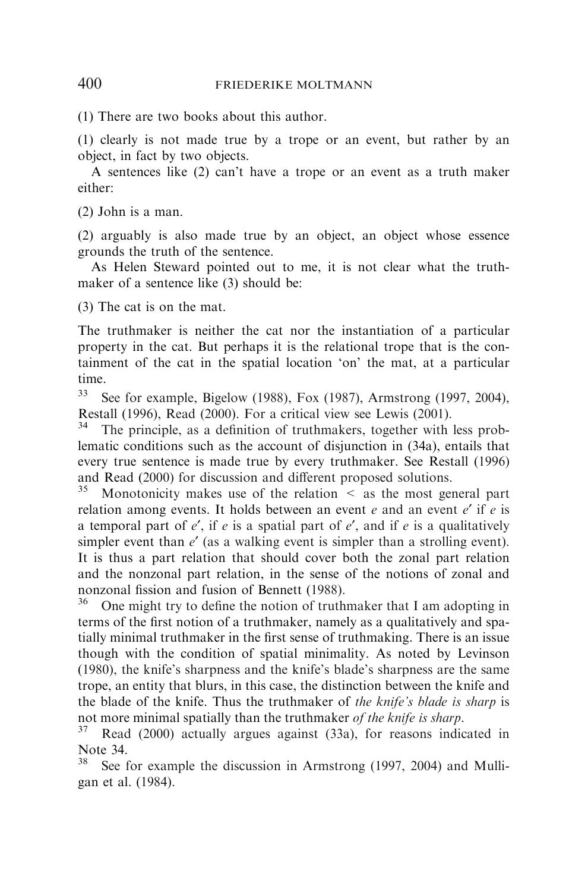(1) There are two books about this author.

(1) clearly is not made true by a trope or an event, but rather by an object, in fact by two objects.

A sentences like (2) can't have a trope or an event as a truth maker either:

(2) John is a man.

(2) arguably is also made true by an object, an object whose essence grounds the truth of the sentence.

As Helen Steward pointed out to me, it is not clear what the truthmaker of a sentence like (3) should be:

(3) The cat is on the mat.

The truthmaker is neither the cat nor the instantiation of a particular property in the cat. But perhaps it is the relational trope that is the containment of the cat in the spatial location 'on' the mat, at a particular time.

<sup>33</sup> See for example, Bigelow (1988), Fox (1987), Armstrong (1997, 2004), Restall (1996), Read (2000). For a critical view see Lewis (2001).<br><sup>34</sup> The principle as a definition of truthpokers, together with

The principle, as a definition of truthmakers, together with less problematic conditions such as the account of disjunction in (34a), entails that every true sentence is made true by every truthmaker. See Restall (1996) and Read (2000) for discussion and different proposed solutions.<br> $35$  Monotonicity makes use of the relation  $\leq$  as the most general

Monotonicity makes use of the relation  $\leq$  as the most general part relation among events. It holds between an event  $e$  and an event  $e'$  if  $e$  is a temporal part of  $e'$ , if e is a spatial part of  $e'$ , and if e is a qualitatively simpler event than  $e^{t}$  (as a walking event is simpler than a strolling event). It is thus a part relation that should cover both the zonal part relation and the nonzonal part relation, in the sense of the notions of zonal and nonzonal fission and fusion of Bennett (1988).

 $36$  One might try to define the notion of truthmaker that I am adopting in terms of the first notion of a truthmaker, namely as a qualitatively and spatially minimal truthmaker in the first sense of truthmaking. There is an issue though with the condition of spatial minimality. As noted by Levinson (1980), the knife's sharpness and the knife's blade's sharpness are the same trope, an entity that blurs, in this case, the distinction between the knife and the blade of the knife. Thus the truthmaker of the knife's blade is sharp is not more minimal spatially than the truthmaker *of the knife is sharp*.<br><sup>37</sup> Read (2000) actually argues against (33a), for reasons indicated in

Note  $34.$ 

See for example the discussion in Armstrong (1997, 2004) and Mulligan et al. (1984).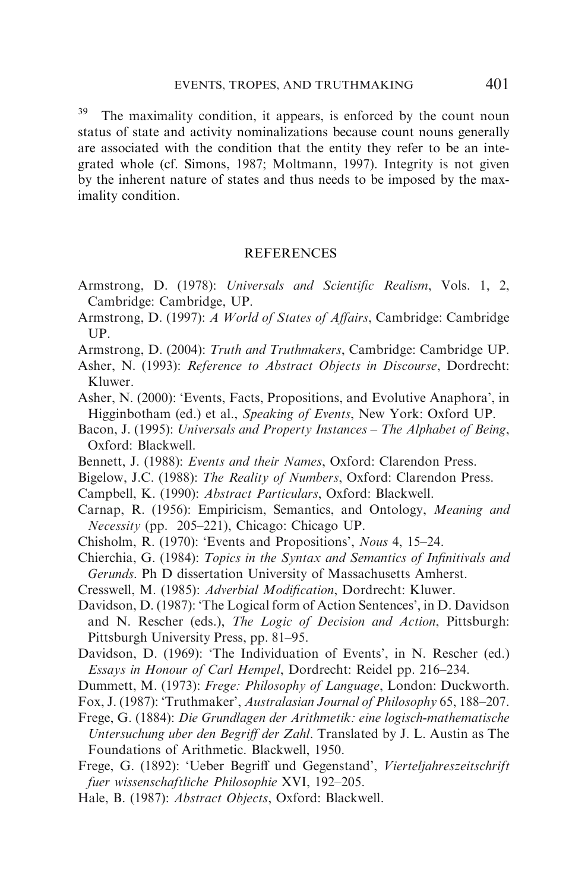<sup>39</sup> The maximality condition, it appears, is enforced by the count noun status of state and activity nominalizations because count nouns generally are associated with the condition that the entity they refer to be an integrated whole (cf. Simons, 1987; Moltmann, 1997). Integrity is not given by the inherent nature of states and thus needs to be imposed by the maximality condition.

#### **REFERENCES**

- Armstrong, D. (1978): Universals and Scientific Realism, Vols. 1, 2, Cambridge: Cambridge, UP.
- Armstrong, D. (1997): A World of States of Affairs, Cambridge: Cambridge UP.
- Armstrong, D. (2004): Truth and Truthmakers, Cambridge: Cambridge UP.
- Asher, N. (1993): Reference to Abstract Objects in Discourse, Dordrecht: Kluwer.
- Asher, N. (2000): 'Events, Facts, Propositions, and Evolutive Anaphora', in Higginbotham (ed.) et al., Speaking of Events, New York: Oxford UP.
- Bacon, J. (1995): Universals and Property Instances The Alphabet of Being, Oxford: Blackwell.
- Bennett, J. (1988): Events and their Names, Oxford: Clarendon Press.
- Bigelow, J.C. (1988): The Reality of Numbers, Oxford: Clarendon Press.
- Campbell, K. (1990): Abstract Particulars, Oxford: Blackwell.
- Carnap, R. (1956): Empiricism, Semantics, and Ontology, Meaning and Necessity (pp. 205–221), Chicago: Chicago UP.
- Chisholm, R. (1970): 'Events and Propositions', Nous 4, 15–24.
- Chierchia, G. (1984): Topics in the Syntax and Semantics of Infinitivals and Gerunds. Ph D dissertation University of Massachusetts Amherst.
- Cresswell, M. (1985): Adverbial Modification, Dordrecht: Kluwer.
- Davidson, D. (1987): 'The Logical form of Action Sentences', in D. Davidson and N. Rescher (eds.), The Logic of Decision and Action, Pittsburgh: Pittsburgh University Press, pp. 81–95.
- Davidson, D. (1969): 'The Individuation of Events', in N. Rescher (ed.) Essays in Honour of Carl Hempel, Dordrecht: Reidel pp. 216–234.
- Dummett, M. (1973): Frege: Philosophy of Language, London: Duckworth.
- Fox, J. (1987): 'Truthmaker', Australasian Journal of Philosophy 65, 188–207.
- Frege, G. (1884): Die Grundlagen der Arithmetik: eine logisch-mathematische Untersuchung uber den Begriff der Zahl. Translated by J. L. Austin as The Foundations of Arithmetic. Blackwell, 1950.
- Frege, G. (1892): 'Ueber Begriff und Gegenstand', Vierteljahreszeitschrift fuer wissenschaftliche Philosophie XVI, 192–205.
- Hale, B. (1987): Abstract Objects, Oxford: Blackwell.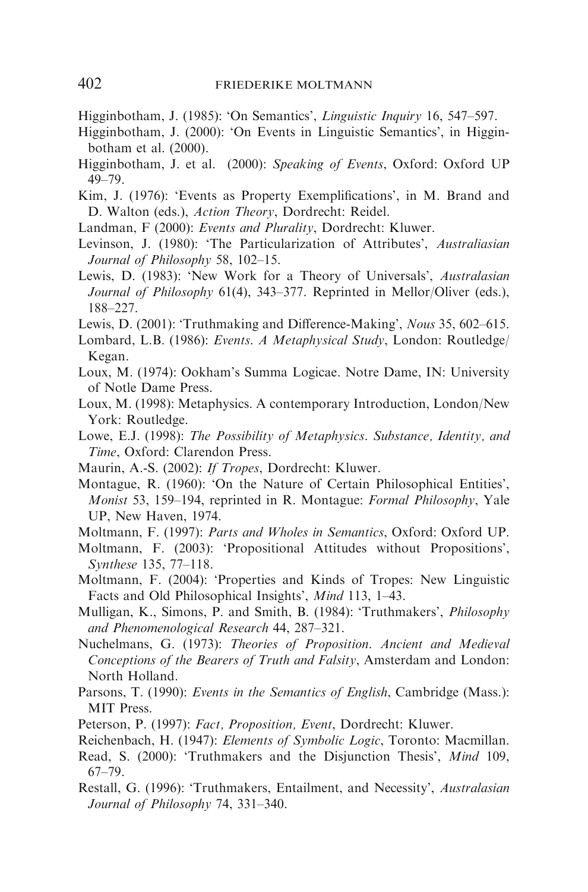- Higginbotham, J. (2000): 'On Events in Linguistic Semantics', in Higginbotham et al. (2000).
- Higginbotham, J. et al. (2000): Speaking of Events, Oxford: Oxford UP 49–79.
- Kim, J. (1976): 'Events as Property Exemplifications', in M. Brand and D. Walton (eds.), Action Theory, Dordrecht: Reidel.
- Landman, F (2000): Events and Plurality, Dordrecht: Kluwer.
- Levinson, J. (1980): 'The Particularization of Attributes', Australiasian Journal of Philosophy 58, 102–15.
- Lewis, D. (1983): 'New Work for a Theory of Universals', Australasian Journal of Philosophy 61(4), 343–377. Reprinted in Mellor/Oliver (eds.), 188–227.
- Lewis, D. (2001): 'Truthmaking and Difference-Making', Nous 35, 602–615.
- Lombard, L.B. (1986): Events. A Metaphysical Study, London: Routledge/ Kegan.
- Loux, M. (1974): Ookham's Summa Logicae. Notre Dame, IN: University of Notle Dame Press.
- Loux, M. (1998): Metaphysics. A contemporary Introduction, London/New York: Routledge.
- Lowe, E.J. (1998): The Possibility of Metaphysics. Substance, Identity, and Time, Oxford: Clarendon Press.
- Maurin, A.-S. (2002): If Tropes, Dordrecht: Kluwer.
- Montague, R. (1960): 'On the Nature of Certain Philosophical Entities', Monist 53, 159–194, reprinted in R. Montague: Formal Philosophy, Yale UP, New Haven, 1974.
- Moltmann, F. (1997): Parts and Wholes in Semantics, Oxford: Oxford UP.
- Moltmann, F. (2003): 'Propositional Attitudes without Propositions', Synthese 135, 77–118.
- Moltmann, F. (2004): 'Properties and Kinds of Tropes: New Linguistic Facts and Old Philosophical Insights', Mind 113, 1–43.
- Mulligan, K., Simons, P. and Smith, B. (1984): 'Truthmakers', Philosophy and Phenomenological Research 44, 287–321.
- Nuchelmans, G. (1973): Theories of Proposition. Ancient and Medieval Conceptions of the Bearers of Truth and Falsity, Amsterdam and London: North Holland.
- Parsons, T. (1990): Events in the Semantics of English, Cambridge (Mass.): MIT Press.
- Peterson, P. (1997): Fact, Proposition, Event, Dordrecht: Kluwer.
- Reichenbach, H. (1947): Elements of Symbolic Logic, Toronto: Macmillan.
- Read, S. (2000): 'Truthmakers and the Disjunction Thesis', Mind 109, 67–79.
- Restall, G. (1996): 'Truthmakers, Entailment, and Necessity', Australasian Journal of Philosophy 74, 331–340.

Higginbotham, J. (1985): 'On Semantics', Linguistic Inquiry 16, 547–597.